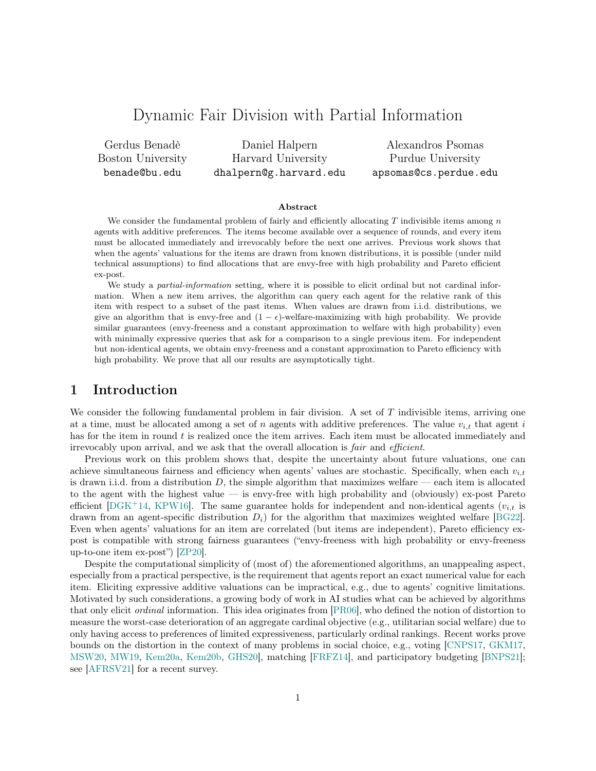# Dynamic Fair Division with Partial Information

Gerdus Benadè Boston University benade@bu.edu

Daniel Halpern Harvard University dhalpern@g.harvard.edu

Alexandros Psomas Purdue University apsomas@cs.perdue.edu

#### Abstract

We consider the fundamental problem of fairly and efficiently allocating  $T$  indivisible items among  $n$ agents with additive preferences. The items become available over a sequence of rounds, and every item must be allocated immediately and irrevocably before the next one arrives. Previous work shows that when the agents' valuations for the items are drawn from known distributions, it is possible (under mild technical assumptions) to find allocations that are envy-free with high probability and Pareto efficient ex-post.

We study a *partial-information* setting, where it is possible to elicit ordinal but not cardinal information. When a new item arrives, the algorithm can query each agent for the relative rank of this item with respect to a subset of the past items. When values are drawn from i.i.d. distributions, we give an algorithm that is envy-free and  $(1 - \epsilon)$ -welfare-maximizing with high probability. We provide similar guarantees (envy-freeness and a constant approximation to welfare with high probability) even with minimally expressive queries that ask for a comparison to a single previous item. For independent but non-identical agents, we obtain envy-freeness and a constant approximation to Pareto efficiency with high probability. We prove that all our results are asymptotically tight.

### 1 Introduction

We consider the following fundamental problem in fair division. A set of T indivisible items, arriving one at a time, must be allocated among a set of n agents with additive preferences. The value  $v_{i,t}$  that agent is has for the item in round  $t$  is realized once the item arrives. Each item must be allocated immediately and irrevocably upon arrival, and we ask that the overall allocation is *fair* and *efficient*.

Previous work on this problem shows that, despite the uncertainty about future valuations, one can achieve simultaneous fairness and efficiency when agents' values are stochastic. Specifically, when each  $v_{i,t}$ is drawn i.i.d. from a distribution  $D$ , the simple algorithm that maximizes welfare — each item is allocated to the agent with the highest value — is envy-free with high probability and (obviously) ex-post Pareto efficient [\[DGK](#page-16-0)+14, [KPW16\]](#page-17-0). The same guarantee holds for independent and non-identical agents  $(v_{i,t}$  is drawn from an agent-specific distribution  $D_i$ ) for the algorithm that maximizes weighted welfare [\[BG22\]](#page-16-1). Even when agents' valuations for an item are correlated (but items are independent), Pareto efficiency expost is compatible with strong fairness guarantees ("envy-freeness with high probability or envy-freeness up-to-one item ex-post") [\[ZP20\]](#page-18-0).

Despite the computational simplicity of (most of) the aforementioned algorithms, an unappealing aspect, especially from a practical perspective, is the requirement that agents report an exact numerical value for each item. Eliciting expressive additive valuations can be impractical, e.g., due to agents' cognitive limitations. Motivated by such considerations, a growing body of work in AI studies what can be achieved by algorithms that only elicit ordinal information. This idea originates from [\[PR06\]](#page-18-1), who defined the notion of distortion to measure the worst-case deterioration of an aggregate cardinal objective (e.g., utilitarian social welfare) due to only having access to preferences of limited expressiveness, particularly ordinal rankings. Recent works prove bounds on the distortion in the context of many problems in social choice, e.g., voting [\[CNPS17,](#page-16-2) [GKM17,](#page-17-1) [MSW20,](#page-17-2) [MW19,](#page-17-3) [Kem20a,](#page-17-4) [Kem20b,](#page-17-5) [GHS20\]](#page-17-6), matching [\[FRFZ14\]](#page-17-7), and participatory budgeting [\[BNPS21\]](#page-16-3); see [\[AFRSV21\]](#page-16-4) for a recent survey.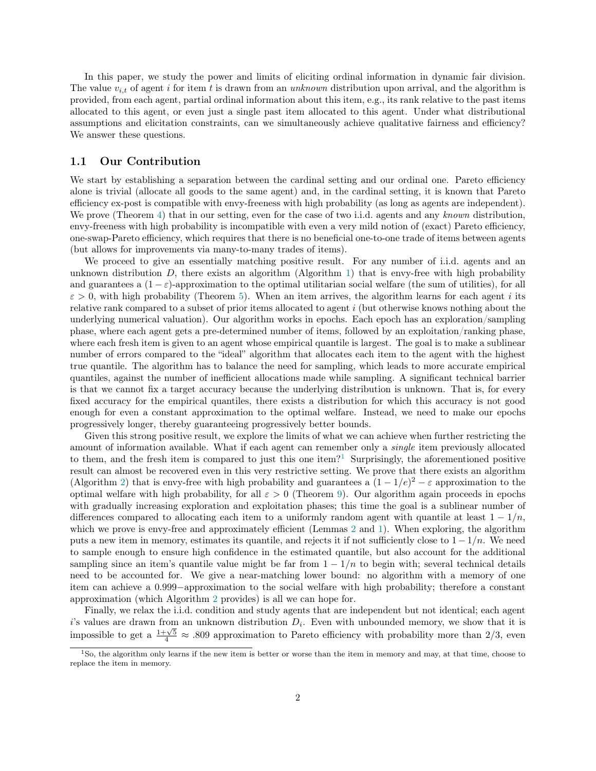In this paper, we study the power and limits of eliciting ordinal information in dynamic fair division. The value  $v_{i,t}$  of agent i for item t is drawn from an unknown distribution upon arrival, and the algorithm is provided, from each agent, partial ordinal information about this item, e.g., its rank relative to the past items allocated to this agent, or even just a single past item allocated to this agent. Under what distributional assumptions and elicitation constraints, can we simultaneously achieve qualitative fairness and efficiency? We answer these questions.

#### 1.1 Our Contribution

We start by establishing a separation between the cardinal setting and our ordinal one. Pareto efficiency alone is trivial (allocate all goods to the same agent) and, in the cardinal setting, it is known that Pareto efficiency ex-post is compatible with envy-freeness with high probability (as long as agents are independent). We prove (Theorem [4\)](#page-6-0) that in our setting, even for the case of two i.i.d. agents and any known distribution, envy-freeness with high probability is incompatible with even a very mild notion of (exact) Pareto efficiency, one-swap-Pareto efficiency, which requires that there is no beneficial one-to-one trade of items between agents (but allows for improvements via many-to-many trades of items).

We proceed to give an essentially matching positive result. For any number of i.i.d. agents and an unknown distribution  $D$ , there exists an algorithm (Algorithm [1\)](#page-8-0) that is envy-free with high probability and guarantees a  $(1 - \varepsilon)$ -approximation to the optimal utilitarian social welfare (the sum of utilities), for all  $\varepsilon > 0$ , with high probability (Theorem [5\)](#page-8-1). When an item arrives, the algorithm learns for each agent i its relative rank compared to a subset of prior items allocated to agent i (but otherwise knows nothing about the underlying numerical valuation). Our algorithm works in epochs. Each epoch has an exploration/sampling phase, where each agent gets a pre-determined number of items, followed by an exploitation/ranking phase, where each fresh item is given to an agent whose empirical quantile is largest. The goal is to make a sublinear number of errors compared to the "ideal" algorithm that allocates each item to the agent with the highest true quantile. The algorithm has to balance the need for sampling, which leads to more accurate empirical quantiles, against the number of inefficient allocations made while sampling. A significant technical barrier is that we cannot fix a target accuracy because the underlying distribution is unknown. That is, for every fixed accuracy for the empirical quantiles, there exists a distribution for which this accuracy is not good enough for even a constant approximation to the optimal welfare. Instead, we need to make our epochs progressively longer, thereby guaranteeing progressively better bounds.

Given this strong positive result, we explore the limits of what we can achieve when further restricting the amount of information available. What if each agent can remember only a single item previously allocated to them, and the fresh item is compared to just this one item?<sup>[1](#page-1-0)</sup> Surprisingly, the aforementioned positive result can almost be recovered even in this very restrictive setting. We prove that there exists an algorithm (Algorithm [2\)](#page-12-0) that is envy-free with high probability and guarantees a  $(1 - 1/e)^2 - \varepsilon$  approximation to the optimal welfare with high probability, for all  $\varepsilon > 0$  (Theorem [9\)](#page-12-1). Our algorithm again proceeds in epochs with gradually increasing exploration and exploitation phases; this time the goal is a sublinear number of differences compared to allocating each item to a uniformly random agent with quantile at least  $1 - 1/n$ , which we prove is envy-free and approximately efficient (Lemmas [2](#page-4-0) and [1\)](#page-3-0). When exploring, the algorithm puts a new item in memory, estimates its quantile, and rejects it if not sufficiently close to  $1 - 1/n$ . We need to sample enough to ensure high confidence in the estimated quantile, but also account for the additional sampling since an item's quantile value might be far from  $1 - 1/n$  to begin with; several technical details need to be accounted for. We give a near-matching lower bound: no algorithm with a memory of one item can achieve a 0.999−approximation to the social welfare with high probability; therefore a constant approximation (which Algorithm [2](#page-12-0) provides) is all we can hope for.

Finally, we relax the i.i.d. condition and study agents that are independent but not identical; each agent  $i$ 's values are drawn from an unknown distribution  $D_i$ . Even with unbounded memory, we show that it is is values are than from an unknown distribution  $D_i$ . Even with unbounded memory, we show that it is<br>impossible to get a  $\frac{1+\sqrt{5}}{4} \approx .809$  approximation to Pareto efficiency with probability more than 2/3, even

<span id="page-1-0"></span><sup>1</sup>So, the algorithm only learns if the new item is better or worse than the item in memory and may, at that time, choose to replace the item in memory.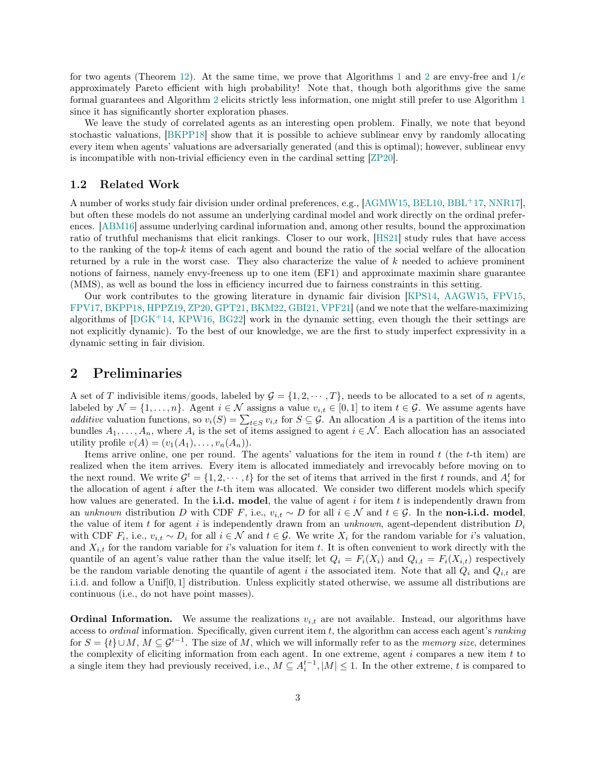for two agents (Theorem [12\)](#page-13-0). At the same time, we prove that Algorithms [1](#page-8-0) and [2](#page-12-0) are envy-free and  $1/e$ approximately Pareto efficient with high probability! Note that, though both algorithms give the same formal guarantees and Algorithm [2](#page-12-0) elicits strictly less information, one might still prefer to use Algorithm [1](#page-8-0) since it has significantly shorter exploration phases.

We leave the study of correlated agents as an interesting open problem. Finally, we note that beyond stochastic valuations, [\[BKPP18\]](#page-16-5) show that it is possible to achieve sublinear envy by randomly allocating every item when agents' valuations are adversarially generated (and this is optimal); however, sublinear envy is incompatible with non-trivial efficiency even in the cardinal setting [\[ZP20\]](#page-18-0).

#### 1.2 Related Work

A number of works study fair division under ordinal preferences, e.g., [\[AGMW15,](#page-16-6) [BEL10,](#page-16-7) [BBL](#page-16-8)+17, [NNR17\]](#page-18-2), but often these models do not assume an underlying cardinal model and work directly on the ordinal preferences. [\[ABM16\]](#page-16-9) assume underlying cardinal information and, among other results, bound the approximation ratio of truthful mechanisms that elicit rankings. Closer to our work, [\[HS21\]](#page-17-8) study rules that have access to the ranking of the top-k items of each agent and bound the ratio of the social welfare of the allocation returned by a rule in the worst case. They also characterize the value of  $k$  needed to achieve prominent notions of fairness, namely envy-freeness up to one item (EF1) and approximate maximin share guarantee (MMS), as well as bound the loss in efficiency incurred due to fairness constraints in this setting.

Our work contributes to the growing literature in dynamic fair division [\[KPS14,](#page-17-9) [AAGW15,](#page-16-10) [FPV15,](#page-16-11) [FPV17,](#page-17-10) [BKPP18,](#page-16-5) [HPPZ19,](#page-17-11) [ZP20,](#page-18-0) [GPT21,](#page-17-12) [BKM22,](#page-16-12) [GBI21,](#page-17-13) [VPF21\]](#page-18-3) (and we note that the welfare-maximizing algorithms of  $[DGK^+14, KPW16, BG22]$  $[DGK^+14, KPW16, BG22]$  $[DGK^+14, KPW16, BG22]$  $[DGK^+14, KPW16, BG22]$  $[DGK^+14, KPW16, BG22]$  work in the dynamic setting, even though the their settings are not explicitly dynamic). To the best of our knowledge, we are the first to study imperfect expressivity in a dynamic setting in fair division.

### 2 Preliminaries

A set of T indivisible items/goods, labeled by  $\mathcal{G} = \{1, 2, \dots, T\}$ , needs to be allocated to a set of n agents, labeled by  $\mathcal{N} = \{1, \ldots, n\}$ . Agent  $i \in \mathcal{N}$  assigns a value  $v_{i,t} \in [0,1]$  to item  $t \in \mathcal{G}$ . We assume agents have additive valuation functions, so  $v_i(S) = \sum_{t \in S} v_{i,t}$  for  $S \subseteq \mathcal{G}$ . An allocation A is a partition of the items into bundles  $A_1, \ldots, A_n$ , where  $A_i$  is the set of items assigned to agent  $i \in \mathcal{N}$ . Each allocation has an associated utility profile  $v(A) = (v_1(A_1), \ldots, v_n(A_n)).$ 

Items arrive online, one per round. The agents' valuations for the item in round  $t$  (the  $t$ -th item) are realized when the item arrives. Every item is allocated immediately and irrevocably before moving on to the next round. We write  $\mathcal{G}^t = \{1, 2, \dots, t\}$  for the set of items that arrived in the first t rounds, and  $A_i^t$  for the allocation of agent  $i$  after the  $t$ -th item was allocated. We consider two different models which specify how values are generated. In the i.i.d. model, the value of agent i for item t is independently drawn from an unknown distribution D with CDF F, i.e.,  $v_{i,t} \sim D$  for all  $i \in \mathcal{N}$  and  $t \in \mathcal{G}$ . In the non-i.i.d. model, the value of item t for agent i is independently drawn from an unknown, agent-dependent distribution  $D_i$ with CDF  $F_i$ , i.e.,  $v_{i,t} \sim D_i$  for all  $i \in \mathcal{N}$  and  $t \in \mathcal{G}$ . We write  $X_i$  for the random variable for i's valuation, and  $X_{i,t}$  for the random variable for i's valuation for item t. It is often convenient to work directly with the quantile of an agent's value rather than the value itself; let  $Q_i = F_i(X_i)$  and  $Q_{i,t} = F_i(X_{i,t})$  respectively be the random variable denoting the quantile of agent i the associated item. Note that all  $Q_i$  and  $Q_{i,t}$  are i.i.d. and follow a Unif[0, 1] distribution. Unless explicitly stated otherwise, we assume all distributions are continuous (i.e., do not have point masses).

**Ordinal Information.** We assume the realizations  $v_{i,t}$  are not available. Instead, our algorithms have access to *ordinal* information. Specifically, given current item  $t$ , the algorithm can access each agent's *ranking* for  $S = \{t\} \cup M$ ,  $M \subseteq \mathcal{G}^{t-1}$ . The size of M, which we will informally refer to as the *memory size*, determines the complexity of eliciting information from each agent. In one extreme, agent  $i$  compares a new item  $t$  to a single item they had previously received, i.e.,  $M \subseteq A_i^{t-1}, |M| \leq 1$ . In the other extreme, t is compared to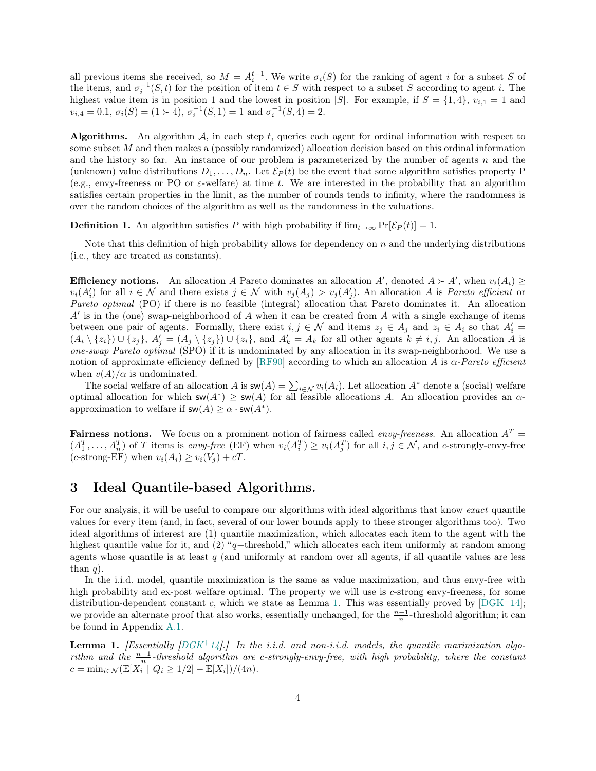all previous items she received, so  $M = A_i^{t-1}$ . We write  $\sigma_i(S)$  for the ranking of agent i for a subset S of the items, and  $\sigma_i^{-1}(S, t)$  for the position of item  $t \in S$  with respect to a subset S according to agent i. The highest value item is in position 1 and the lowest in position |S|. For example, if  $S = \{1, 4\}$ ,  $v_{i,1} = 1$  and  $v_{i,4} = 0.1, \sigma_i(S) = (1 \succ 4), \sigma_i^{-1}(S, 1) = 1 \text{ and } \sigma_i^{-1}(S, 4) = 2.$ 

**Algorithms.** An algorithm  $A$ , in each step t, queries each agent for ordinal information with respect to some subset M and then makes a (possibly randomized) allocation decision based on this ordinal information and the history so far. An instance of our problem is parameterized by the number of agents  $n$  and the (unknown) value distributions  $D_1, \ldots, D_n$ . Let  $\mathcal{E}_P(t)$  be the event that some algorithm satisfies property P (e.g., envy-freeness or PO or  $\varepsilon$ -welfare) at time t. We are interested in the probability that an algorithm satisfies certain properties in the limit, as the number of rounds tends to infinity, where the randomness is over the random choices of the algorithm as well as the randomness in the valuations.

**Definition 1.** An algorithm satisfies P with high probability if  $\lim_{t\to\infty} \Pr[\mathcal{E}_P(t)] = 1$ .

Note that this definition of high probability allows for dependency on  $n$  and the underlying distributions (i.e., they are treated as constants).

**Efficiency notions.** An allocation A Pareto dominates an allocation A', denoted  $A \succ A'$ , when  $v_i(A_i) \ge$  $v_i(A'_i)$  for all  $i \in \mathcal{N}$  and there exists  $j \in \mathcal{N}$  with  $v_j(A_j) > v_j(A'_j)$ . An allocation A is *Pareto efficient* or Pareto optimal (PO) if there is no feasible (integral) allocation that Pareto dominates it. An allocation  $A'$  is in the (one) swap-neighborhood of  $A$  when it can be created from  $A$  with a single exchange of items between one pair of agents. Formally, there exist  $i, j \in \mathcal{N}$  and items  $z_j \in A_j$  and  $z_i \in A_i$  so that  $A'_i =$  $(A_i \setminus \{z_i\}) \cup \{z_j\}, A'_j = (A_j \setminus \{z_j\}) \cup \{z_i\}, \text{ and } A'_k = A_k \text{ for all other agents } k \neq i, j.$  An allocation A is one-swap Pareto optimal (SPO) if it is undominated by any allocation in its swap-neighborhood. We use a notion of approximate efficiency defined by [\[RF90\]](#page-18-4) according to which an allocation A is  $\alpha$ -Pareto efficient when  $v(A)/\alpha$  is undominated.

The social welfare of an allocation A is  $\mathsf{sw}(A) = \sum_{i \in \mathcal{N}} v_i(A_i)$ . Let allocation  $A^*$  denote a (social) welfare optimal allocation for which  $sw(A^*) \ge sw(A)$  for all feasible allocations A. An allocation provides an  $\alpha$ approximation to welfare if  $\mathsf{sw}(A) \geq \alpha \cdot \mathsf{sw}(A^*)$ .

**Fairness notions.** We focus on a prominent notion of fairness called *envy-freeness*. An allocation  $A<sup>T</sup>$  =  $(A_1^T, \ldots, A_n^T)$  of T items is envy-free (EF) when  $v_i(A_i^T) \ge v_i(A_j^T)$  for all  $i, j \in \mathcal{N}$ , and c-strongly-envy-free (c-strong-EF) when  $v_i(A_i) \ge v_i(V_i) + cT$ .

# 3 Ideal Quantile-based Algorithms.

For our analysis, it will be useful to compare our algorithms with ideal algorithms that know exact quantile values for every item (and, in fact, several of our lower bounds apply to these stronger algorithms too). Two ideal algorithms of interest are (1) quantile maximization, which allocates each item to the agent with the highest quantile value for it, and (2) "q−threshold," which allocates each item uniformly at random among agents whose quantile is at least  $q$  (and uniformly at random over all agents, if all quantile values are less than  $q$ ).

In the i.i.d. model, quantile maximization is the same as value maximization, and thus envy-free with high probability and ex-post welfare optimal. The property we will use is c-strong envy-freeness, for some distribution-dependent constant c, which we state as Lemma [1.](#page-3-0) This was essentially proved by  $[DGK^+14]$  $[DGK^+14]$ ; we provide an alternate proof that also works, essentially unchanged, for the  $\frac{n-1}{n}$ -threshold algorithm; it can be found in Appendix [A.1.](#page-19-0)

<span id="page-3-0"></span>**Lemma 1.** [Essentially  $[DGK^+14]$  $[DGK^+14]$ .] In the i.i.d. and non-i.i.d. models, the quantile maximization algorithm and the  $\frac{n-1}{n}$ -threshold algorithm are c-strongly-envy-free, with high probability, where the constant  $c = \min_{i \in \mathcal{N}} (\mathbb{E}[X_i^{n'} | Q_i \ge 1/2] - \mathbb{E}[X_i])/(4n).$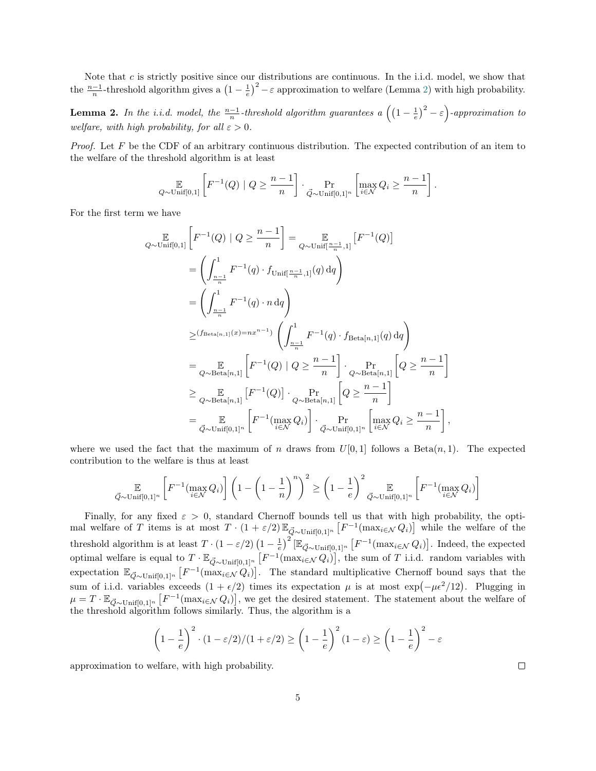Note that  $c$  is strictly positive since our distributions are continuous. In the i.i.d. model, we show that the  $\frac{n-1}{n}$ -threshold algorithm gives a  $\left(1-\frac{1}{e}\right)^2 - \varepsilon$  approximation to welfare (Lemma [2\)](#page-4-0) with high probability.

<span id="page-4-0"></span>**Lemma 2.** In the i.i.d. model, the  $\frac{n-1}{n}$ -threshold algorithm guarantees a  $((1-\frac{1}{e})^2-\varepsilon)$ -approximation to welfare, with high probability, for all  $\varepsilon > 0$ .

*Proof.* Let F be the CDF of an arbitrary continuous distribution. The expected contribution of an item to the welfare of the threshold algorithm is at least

$$
\mathop{\mathbb{E}}_{Q \sim \text{Unif}[0,1]} \left[ F^{-1}(Q) \mid Q \geq \frac{n-1}{n} \right] \cdot \Pr_{\vec{Q} \sim \text{Unif}[0,1]^n} \left[ \max_{i \in \mathcal{N}} Q_i \geq \frac{n-1}{n} \right].
$$

For the first term we have

$$
\mathbb{E}_{Q \sim \text{Unif}[0,1]} \left[ F^{-1}(Q) \mid Q \geq \frac{n-1}{n} \right] = \mathbb{E}_{Q \sim \text{Unif}[\frac{n-1}{n},1]} \left[ F^{-1}(Q) \right]
$$
\n
$$
= \left( \int_{\frac{n-1}{n}}^{1} F^{-1}(q) \cdot f_{\text{Unif}[\frac{n-1}{n},1]}(q) dq \right)
$$
\n
$$
= \left( \int_{\frac{n-1}{n}}^{1} F^{-1}(q) \cdot n dq \right)
$$
\n
$$
\geq (f_{\text{Beta}[n,1]}(x) = nx^{n-1}) \left( \int_{\frac{n-1}{n}}^{1} F^{-1}(q) \cdot f_{\text{Beta}[n,1]}(q) dq \right)
$$
\n
$$
= \mathbb{E}_{Q \sim \text{Beta}[n,1]} \left[ F^{-1}(Q) \mid Q \geq \frac{n-1}{n} \right] \cdot \mathbb{E}_{Q \sim \text{Beta}[n,1]} \left[ Q \geq \frac{n-1}{n} \right]
$$
\n
$$
\geq \mathbb{E}_{Q \sim \text{Beta}[n,1]} \left[ F^{-1}(Q) \right] \cdot \mathbb{E}_{Q \sim \text{Beta}[n,1]} \left[ Q \geq \frac{n-1}{n} \right]
$$
\n
$$
= \mathbb{E}_{\vec{Q} \sim \text{Unif}[0,1]^n} \left[ F^{-1}(\max_{i \in \mathcal{N}} Q_i) \right] \cdot \mathbb{E}_{Q \sim \text{Unif}[0,1]^n} \left[ \max_{i \in \mathcal{N}} Q_i \geq \frac{n-1}{n} \right],
$$

where we used the fact that the maximum of n draws from  $U[0, 1]$  follows a Beta $(n, 1)$ . The expected contribution to the welfare is thus at least

$$
\mathop{\mathbb{E}}_{\vec{Q} \sim \text{Unif}[0,1]^n} \left[ F^{-1}(\max_{i \in \mathcal{N}} Q_i) \right] \left( 1 - \left( 1 - \frac{1}{n} \right)^n \right)^2 \ge \left( 1 - \frac{1}{e} \right)^2 \mathop{\mathbb{E}}_{\vec{Q} \sim \text{Unif}[0,1]^n} \left[ F^{-1}(\max_{i \in \mathcal{N}} Q_i) \right]
$$

Finally, for any fixed  $\varepsilon > 0$ , standard Chernoff bounds tell us that with high probability, the optimal welfare of T items is at most  $T \cdot (1 + \varepsilon/2) \mathbb{E}_{\vec{Q} \sim \text{Unif}[0,1]^n} \left[ F^{-1}(\max_{i \in \mathcal{N}} Q_i) \right]$  while the welfare of the threshold algorithm is at least  $T \cdot (1 - \varepsilon/2) (1 - \frac{1}{e})^2 [\mathbb{E}_{\vec{Q} \sim \text{Unif}[0,1]^n} [F^{-1}(\max_{i \in \mathcal{N}} Q_i)].$  Indeed, the expected optimal welfare is equal to  $T \cdot \mathbb{E}_{\vec{Q} \sim \text{Unif}[0,1]^n} \left[ F^{-1}(\max_{i \in \mathcal{N}} Q_i) \right]$ , the sum of T i.i.d. random variables with expectation  $\mathbb{E}_{\vec{Q} \sim \text{Unif}[0,1]^n} \left[ F^{-1}(\max_{i \in \mathcal{N}} Q_i) \right]$ . The standard multiplicative Chernoff bound says that the sum of i.i.d. variables exceeds  $(1 + \epsilon/2)$  times its expectation  $\mu$  is at most exp $(-\mu \epsilon^2/12)$ . Plugging in  $\mu = T \cdot \mathbb{E}_{\vec{Q} \sim \text{Unif}[0,1]^n} \left[ F^{-1}(\max_{i \in \mathcal{N}} Q_i) \right]$ , we get the desired statement. The statement about the welfare of the threshold algorithm follows similarly. Thus, the algorithm is a

$$
\left(1 - \frac{1}{e}\right)^2 \cdot \left(1 - \frac{\varepsilon}{2}\right) / \left(1 + \frac{\varepsilon}{2}\right) \ge \left(1 - \frac{1}{e}\right)^2 \left(1 - \varepsilon\right) \ge \left(1 - \frac{1}{e}\right)^2 - \varepsilon
$$

approximation to welfare, with high probability.

 $\Box$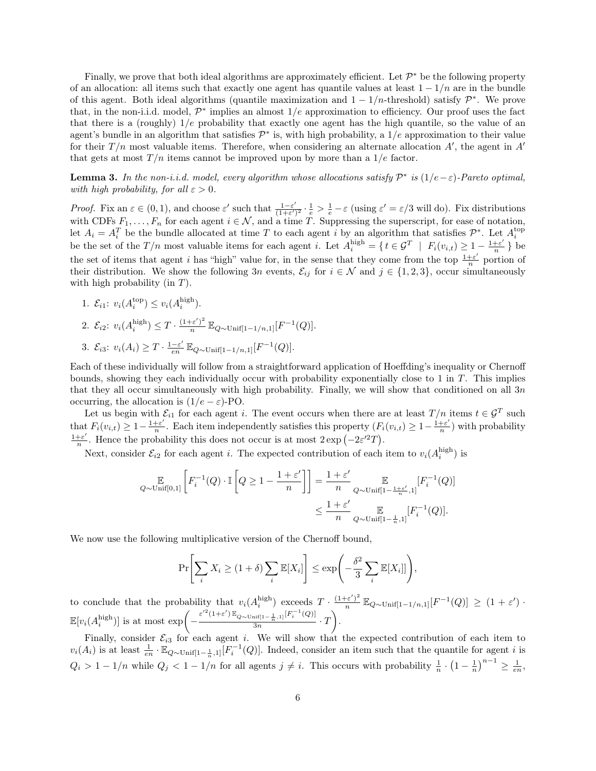Finally, we prove that both ideal algorithms are approximately efficient. Let  $\mathcal{P}^*$  be the following property of an allocation: all items such that exactly one agent has quantile values at least  $1 - 1/n$  are in the bundle of this agent. Both ideal algorithms (quantile maximization and  $1 - 1/n$ -threshold) satisfy  $\mathcal{P}^*$ . We prove that, in the non-i.i.d. model,  $\mathcal{P}^*$  implies an almost  $1/e$  approximation to efficiency. Our proof uses the fact that there is a (roughly)  $1/e$  probability that exactly one agent has the high quantile, so the value of an agent's bundle in an algorithm that satisfies  $\mathcal{P}^*$  is, with high probability, a  $1/e$  approximation to their value for their  $T/n$  most valuable items. Therefore, when considering an alternate allocation  $A'$ , the agent in  $A'$ that gets at most  $T/n$  items cannot be improved upon by more than a  $1/e$  factor.

<span id="page-5-0"></span>**Lemma 3.** In the non-i.i.d. model, every algorithm whose allocations satisfy  $\mathcal{P}^*$  is  $(1/e - \varepsilon)$ -Pareto optimal, with high probability, for all  $\varepsilon > 0$ .

*Proof.* Fix an  $\varepsilon \in (0,1)$ , and choose  $\varepsilon'$  such that  $\frac{1-\varepsilon'}{(1+\varepsilon')}$  $\frac{1-\varepsilon'}{(1+\varepsilon')^2} \cdot \frac{1}{e} > \frac{1}{e} - \varepsilon$  (using  $\varepsilon' = \varepsilon/3$  will do). Fix distributions with CDFs  $F_1, \ldots, F_n$  for each agent  $i \in \mathcal{N}$ , and a time T. Suppressing the superscript, for ease of notation, let  $A_i = A_i^T$  be the bundle allocated at time T to each agent i by an algorithm that satisfies  $\mathcal{P}^*$ . Let  $A_i^{\text{top}}$ be the set of the  $T/n$  most valuable items for each agent i. Let  $A_i^{\text{high}} = \{ t \in \mathcal{G}^T \mid F_i(v_{i,t}) \geq 1 - \frac{1+\varepsilon'}{n} \}$  $\frac{+ \varepsilon'}{n}$  } be the set of items that agent i has "high" value for, in the sense that they come from the top  $\frac{1+\varepsilon'}{n}$  $\frac{1}{n}$  portion of their distribution. We show the following 3n events,  $\mathcal{E}_{ij}$  for  $i \in \mathcal{N}$  and  $j \in \{1, 2, 3\}$ , occur simultaneously with high probability (in  $T$ ).

1.  $\mathcal{E}_{i1}: v_i(A_i^{\text{top}}) \leq v_i(A_i^{\text{high}})$ . 2.  $\mathcal{E}_{i2}: v_i(A_i^{\text{high}}) \leq T \cdot \frac{(1+\varepsilon')^2}{n}$  $\frac{e^{-\varepsilon}}{n} \mathbb{E}_{Q \sim \text{Unif}[1-1/n,1]}[F^{-1}(Q)].$ 3.  $\mathcal{E}_{i3}: v_i(A_i) \geq T \cdot \frac{1-\varepsilon'}{en}$  $\frac{-\varepsilon'}{en} \mathbb{E}_{Q \sim \text{Unif}[1-1/n,1]}[F^{-1}(Q)].$ 

Each of these individually will follow from a straightforward application of Hoeffding's inequality or Chernoff bounds, showing they each individually occur with probability exponentially close to 1 in T. This implies that they all occur simultaneously with high probability. Finally, we will show that conditioned on all 3n occurring, the allocation is  $(1/e - \varepsilon)$ -PO.

Let us begin with  $\mathcal{E}_{i1}$  for each agent i. The event occurs when there are at least  $T/n$  items  $t \in \mathcal{G}^T$  such that  $F_i(v_{i,t}) \geq 1 - \frac{1+\varepsilon'}{n}$  $\frac{1+\varepsilon'}{n}$ . Each item independently satisfies this property  $(F_i(v_{i,t}) \geq 1 - \frac{1+\varepsilon'}{n})$  $\frac{1}{n}$ ) with probability  $1+\varepsilon'$  $\frac{1}{2} \epsilon'$ . Hence the probability this does not occur is at most  $2 \exp(-2\epsilon'^2 T)$ .

Next, consider  $\mathcal{E}_{i2}$  for each agent *i*. The expected contribution of each item to  $v_i(A_i^{\text{high}})$  is

$$
\label{eq:Q} \begin{split} \mathop{\mathbb{E}}_{Q \sim \text{Unif}[0,1]} \left[ F_i^{-1}(Q) \cdot \mathbb{I} \left[ Q \geq 1 - \frac{1+\varepsilon'}{n} \right] \right] = \frac{1+\varepsilon'}{n} \mathop{\mathbb{E}}_{Q \sim \text{Unif}[1-\frac{1+\varepsilon'}{n},1]} [F_i^{-1}(Q)] \\ & \leq \frac{1+\varepsilon'}{n} \mathop{\mathbb{E}}_{Q \sim \text{Unif}[1-\frac{1}{n},1]} [F_i^{-1}(Q)]. \end{split}
$$

We now use the following multiplicative version of the Chernoff bound,

$$
\Pr\left[\sum_{i} X_{i} \geq (1+\delta) \sum_{i} \mathbb{E}[X_{i}] \right] \leq \exp\left(-\frac{\delta^{2}}{3} \sum_{i} \mathbb{E}[X_{i}]]\right),\end{aligned}
$$

to conclude that the probability that  $v_i(A_i^{\text{high}})$  exceeds  $T \cdot \frac{(1+\varepsilon')^2}{n}$  $\frac{e^{-\varepsilon}}{n} \mathbb{E}_{Q \sim \text{Unif}[1-1/n,1]}[F^{-1}(Q)] \geq (1+\varepsilon')$  $\mathbb{E}[v_i(A_i^{\text{high}})]$  is at most  $\exp\left(-\frac{\varepsilon'^2(1+\varepsilon')\mathbb{E}_{Q\sim\text{Unif}[1-\frac{1}{n},1]}[F_i^{-1}(Q)]}{3n}\right)$  $\frac{\min\{1-\frac{1}{n},1\} [F_i^{-1}(Q)]}{3n}\cdot T$ .

Finally, consider  $\mathcal{E}_{i3}$  for each agent i. We will show that the expected contribution of each item to  $v_i(A_i)$  is at least  $\frac{1}{en} \cdot \mathbb{E}_{Q \sim \text{Unif}[1-\frac{1}{n},1]}[F_i^{-1}(Q)]$ . Indeed, consider an item such that the quantile for agent *i* is  $Q_i > 1 - 1/n$  while  $Q_j < 1 - 1/n$  for all agents  $j \neq i$ . This occurs with probability  $\frac{1}{n} \cdot \left(1 - \frac{1}{n}\right)^{n-1} \geq \frac{1}{en}$ ,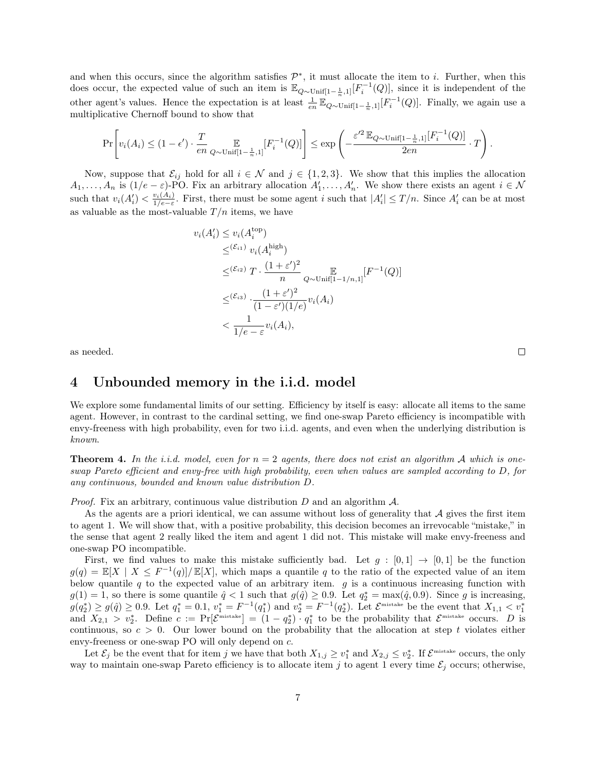and when this occurs, since the algorithm satisfies  $\mathcal{P}^*$ , it must allocate the item to i. Further, when this does occur, the expected value of such an item is  $\mathbb{E}_{Q\sim \text{Unif}[1-\frac{1}{n},1]}[F_i^{-1}(Q)]$ , since it is independent of the other agent's values. Hence the expectation is at least  $\frac{1}{en} \mathbb{E}_{Q\sim \text{Unif}[1-\frac{1}{n},1]}[F_i^{-1}(Q)]$ . Finally, we again use a multiplicative Chernoff bound to show that

$$
\Pr\Biggl[v_i(A_i) \leq (1-\epsilon')\cdot \frac{T}{en} \mathop{\mathbb{E}}_{Q\sim \text{Unif}[1-\frac{1}{n},1]}[F_i^{-1}(Q)]\Biggr] \leq \exp\left(-\frac{\varepsilon'^2\, \mathbb{E}_{Q\sim \text{Unif}[1-\frac{1}{n},1]}[F_i^{-1}(Q)]}{2en}\cdot T\right).
$$

Now, suppose that  $\mathcal{E}_{ij}$  hold for all  $i \in \mathcal{N}$  and  $j \in \{1, 2, 3\}$ . We show that this implies the allocation  $A_1, \ldots, A_n$  is  $(1/e - \varepsilon)$ -PO. Fix an arbitrary allocation  $A'_1, \ldots, A'_n$ . We show there exists an agent  $i \in \mathcal{N}$ such that  $v_i(A'_i) < \frac{v_i(A_i)}{1/e-\varepsilon}$ . First, there must be some agent i such that  $|A'_i| \leq T/n$ . Since  $A'_i$  can be at most as valuable as the most-valuable  $T/n$  items, we have

$$
v_i(A'_i) \le v_i(A_i^{\text{top}})
$$
  
\n
$$
\leq^{(\mathcal{E}_{i1})} v_i(A_i^{\text{high}})
$$
  
\n
$$
\leq^{(\mathcal{E}_{i2})} T \cdot \frac{(1+\varepsilon')^2}{n} \mathbb{E}_{Q \sim \text{Unif}[1-1/n,1]}[F^{-1}(Q)]
$$
  
\n
$$
\leq^{(\mathcal{E}_{i3})} \cdot \frac{(1+\varepsilon')^2}{(1-\varepsilon')(1/e)} v_i(A_i)
$$
  
\n
$$
< \frac{1}{1/e - \varepsilon} v_i(A_i),
$$

 $\Box$ 

as needed.

### 4 Unbounded memory in the i.i.d. model

We explore some fundamental limits of our setting. Efficiency by itself is easy: allocate all items to the same agent. However, in contrast to the cardinal setting, we find one-swap Pareto efficiency is incompatible with envy-freeness with high probability, even for two i.i.d. agents, and even when the underlying distribution is known.

<span id="page-6-0"></span>**Theorem 4.** In the i.i.d. model, even for  $n = 2$  agents, there does not exist an algorithm A which is oneswap Pareto efficient and envy-free with high probability, even when values are sampled according to D, for any continuous, bounded and known value distribution D.

*Proof.* Fix an arbitrary, continuous value distribution  $D$  and an algorithm  $\mathcal{A}$ .

As the agents are a priori identical, we can assume without loss of generality that  $A$  gives the first item to agent 1. We will show that, with a positive probability, this decision becomes an irrevocable "mistake," in the sense that agent 2 really liked the item and agent 1 did not. This mistake will make envy-freeness and one-swap PO incompatible.

First, we find values to make this mistake sufficiently bad. Let  $g : [0,1] \rightarrow [0,1]$  be the function  $g(q) = \mathbb{E}[X \mid X \leq F^{-1}(q)] / \mathbb{E}[X]$ , which maps a quantile q to the ratio of the expected value of an item below quantile q to the expected value of an arbitrary item.  $g$  is a continuous increasing function with  $g(1) = 1$ , so there is some quantile  $\hat{q} < 1$  such that  $g(\hat{q}) \ge 0.9$ . Let  $q_2^* = \max(\hat{q}, 0.9)$ . Since g is increasing,  $g(q_2^*) \ge g(\hat{q}) \ge 0.9$ . Let  $q_1^* = 0.1$ ,  $v_1^* = F^{-1}(q_1^*)$  and  $v_2^* = F^{-1}(q_2^*)$ . Let  $\mathcal{E}^{\text{mistake}}$  be the event that  $X_{1,1} < v_1^*$ <br>and  $X_{2,1} > v_2^*$ . Define  $c := \Pr[\mathcal{E}^{\text{mistake}}] = (1 - q_2^*) \cdot q_1^*$  to be the probability continuous, so  $c > 0$ . Our lower bound on the probability that the allocation at step t violates either envy-freeness or one-swap PO will only depend on c.

Let  $\mathcal{E}_j$  be the event that for item j we have that both  $X_{1,j} \ge v_1^*$  and  $X_{2,j} \le v_2^*$ . If  $\mathcal{E}^{\text{mistake}}$  occurs, the only way to maintain one-swap Pareto efficiency is to allocate item j to agent 1 every time  $\mathcal{E}_j$  occurs; otherwise,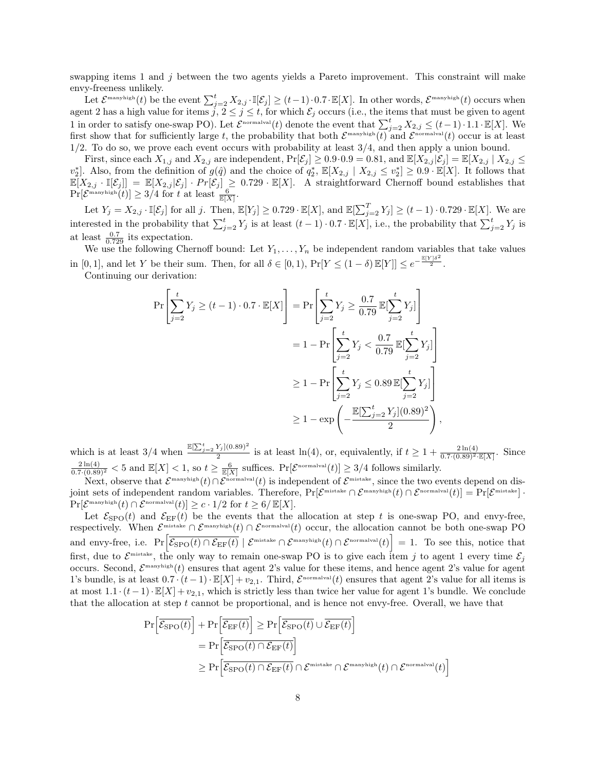swapping items 1 and  $j$  between the two agents yields a Pareto improvement. This constraint will make envy-freeness unlikely.

Let  $\mathcal{E}^{\text{manyhigh}}(t)$  be the event  $\sum_{j=2}^{t} X_{2,j} \cdot \mathbb{I}[\mathcal{E}_j] \ge (t-1) \cdot 0.7 \cdot \mathbb{E}[X]$ . In other words,  $\mathcal{E}^{\text{manyhigh}}(t)$  occurs when agent 2 has a high value for items  $j, 2 \le j \le t$ , for which  $\mathcal{E}_j$  occurs (i.e., the items that must be given to agent 1 in order to satisfy one-swap PO). Let  $\mathcal{E}^{\text{normalval}}(t)$  denote the event that  $\sum_{j=2}^{t} X_{2,j} \leq (t-1) \cdot 1.1 \cdot \mathbb{E}[X]$ . We first show that for sufficiently large t, the probability that both  $\mathcal{E}^{\text{manyhigh}}(t)$  and  $\mathcal{E}^{\text{normalval}}(t)$  occur is at least 1/2. To do so, we prove each event occurs with probability at least 3/4, and then apply a union bound.

First, since each  $X_{1,j}$  and  $X_{2,j}$  are independent,  $Pr[\mathcal{E}_j] \ge 0.9 \cdot 0.9 = 0.81$ , and  $\mathbb{E}[X_{2,j}|\mathcal{E}_j] = \mathbb{E}[X_{2,j} | X_{2,j} \le$  $v_2^*$ . Also, from the definition of  $g(\hat{q})$  and the choice of  $q_2^*, \mathbb{E}[X_{2,j} | X_{2,j} \leq v_2^*] \geq 0.9 \cdot \mathbb{E}[X]$ . It follows that  $\mathbb{E}[X_{2,j} \cdot \mathbb{I}[\mathcal{E}_j]] = \mathbb{E}[X_{2,j}|\mathcal{E}_j] \cdot Pr[\mathcal{E}_j] \geq 0.729 \cdot \mathbb{E}[X].$  A straightforward Chernoff bound establishes that  $\Pr[\mathcal{E}^{\text{manyhigh}}(t)] \geq 3/4$  for t at least  $\frac{6}{\mathbb{E}[X]}.$ 

Let  $Y_j = X_{2,j} \cdot \mathbb{I}[\mathcal{E}_j]$  for all j. Then,  $\mathbb{E}[Y_j] \geq 0.729 \cdot \mathbb{E}[X]$ , and  $\mathbb{E}[\sum_{j=2}^T Y_j] \geq (t-1) \cdot 0.729 \cdot \mathbb{E}[X]$ . We are interested in the probability that  $\sum_{j=2}^{t} Y_j$  is at least  $(t-1) \cdot 0.7 \cdot \mathbb{E}[X]$ , i.e., the probability that  $\sum_{j=2}^{t} Y_j$  is at least  $\frac{0.7}{0.729}$  its expectation.

We use the following Chernoff bound: Let  $Y_1, \ldots, Y_n$  be independent random variables that take values in [0, 1], and let Y be their sum. Then, for all  $\delta \in [0,1)$ ,  $Pr[Y \leq (1-\delta) \mathbb{E}[Y]] \leq e^{-\frac{\mathbb{E}[Y]\delta^2}{2}}$ .

Continuing our derivation:

$$
\Pr\left[\sum_{j=2}^{t} Y_j \ge (t-1) \cdot 0.7 \cdot \mathbb{E}[X]\right] = \Pr\left[\sum_{j=2}^{t} Y_j \ge \frac{0.7}{0.79} \mathbb{E}[\sum_{j=2}^{t} Y_j]\right]
$$

$$
= 1 - \Pr\left[\sum_{j=2}^{t} Y_j < \frac{0.7}{0.79} \mathbb{E}[\sum_{j=2}^{t} Y_j]\right]
$$

$$
\ge 1 - \Pr\left[\sum_{j=2}^{t} Y_j \le 0.89 \mathbb{E}[\sum_{j=2}^{t} Y_j]\right]
$$

$$
\ge 1 - \exp\left(-\frac{\mathbb{E}[\sum_{j=2}^{t} Y_j](0.89)^2}{2}\right),
$$

which is at least  $3/4$  when  $\frac{\mathbb{E}[\sum_{j=2}^{t} Y_j](0.89)^2}{2}$  is at least  $\ln(4)$ , or, equivalently, if  $t \geq 1 + \frac{2\ln(4)}{0.7 \cdot (0.89)^2 \cdot \mathbb{E}[X]}$ . Since  $\frac{2\ln(4)}{0.7\cdot(0.89)^2}$  < 5 and  $\mathbb{E}[X]$  < 1, so  $t \geq \frac{6}{\mathbb{E}[X]}$  suffices.  $\Pr[\mathcal{E}^{\text{normalval}}(t)] \geq 3/4$  follows similarly.

Next, observe that  $\mathcal{E}^{\text{manyhigh}}(t) \cap \mathcal{E}^{\text{normalval}}(t)$  is independent of  $\mathcal{E}^{\text{mistake}}$ , since the two events depend on disjoint sets of independent random variables. Therefore,  $Pr[\mathcal{E}^{\text{mistake}} \cap \mathcal{E}^{\text{manyhigh}}(t) \cap \mathcal{E}^{\text{normal}}(t)] = Pr[\mathcal{E}^{\text{mistake}}]$  $\Pr[\mathcal{E}^{\text{manyhigh}}(t) \cap \mathcal{E}^{\text{normalval}}(t)] \ge c \cdot 1/2 \text{ for } t \ge 6/\mathbb{E}[X].$ 

Let  $\mathcal{E}_{\text{SPO}}(t)$  and  $\mathcal{E}_{\text{EF}}(t)$  be the events that the allocation at step t is one-swap PO, and envy-free, respectively. When  $\mathcal{E}^{\text{mistake}} \cap \mathcal{E}^{\text{manyhigh}}(t) \cap \mathcal{E}^{\text{normalval}}(t)$  occur, the allocation cannot be both one-swap PO and envy-free, i.e.  $\Pr\left[\overline{\mathcal{E}_{\text{SPO}}(t) \cap \mathcal{E}_{\text{EF}}(t)} \mid \mathcal{E}^{\text{mistake}} \cap \mathcal{E}^{\text{manyhigh}}(t) \cap \mathcal{E}^{\text{normalval}}(t)\right] = 1$ . To see this, notice that first, due to  $\mathcal{E}^{\text{mistake}}$ , the only way to remain one-swap PO is to give each item j to agent 1 every time  $\mathcal{E}_j$ occurs. Second,  $\mathcal{E}^{\text{manyhigh}}(t)$  ensures that agent 2's value for these items, and hence agent 2's value for agent 1's bundle, is at least  $0.7 \cdot (t-1) \cdot \mathbb{E}[X] + v_{2,1}$ . Third,  $\mathcal{E}^{\text{normalval}}(t)$  ensures that agent 2's value for all items is at most  $1.1 \cdot (t-1) \cdot \mathbb{E}[X] + v_{2,1}$ , which is strictly less than twice her value for agent 1's bundle. We conclude that the allocation at step  $t$  cannot be proportional, and is hence not envy-free. Overall, we have that

$$
\Pr\left[\overline{\mathcal{E}_{\text{SPO}}(t)}\right] + \Pr\left[\overline{\mathcal{E}_{\text{EF}}(t)}\right] \ge \Pr\left[\overline{\mathcal{E}_{\text{SPO}}(t)} \cup \overline{\mathcal{E}_{\text{EF}}(t)}\right]
$$
\n
$$
= \Pr\left[\overline{\mathcal{E}_{\text{SPO}}(t) \cap \mathcal{E}_{\text{EF}}(t)}\right]
$$
\n
$$
\ge \Pr\left[\overline{\mathcal{E}_{\text{SPO}}(t) \cap \mathcal{E}_{\text{EF}}(t)} \cap \mathcal{E}^{\text{mistake}} \cap \mathcal{E}^{\text{manyhigh}}(t) \cap \mathcal{E}^{\text{normalval}}(t)\right]
$$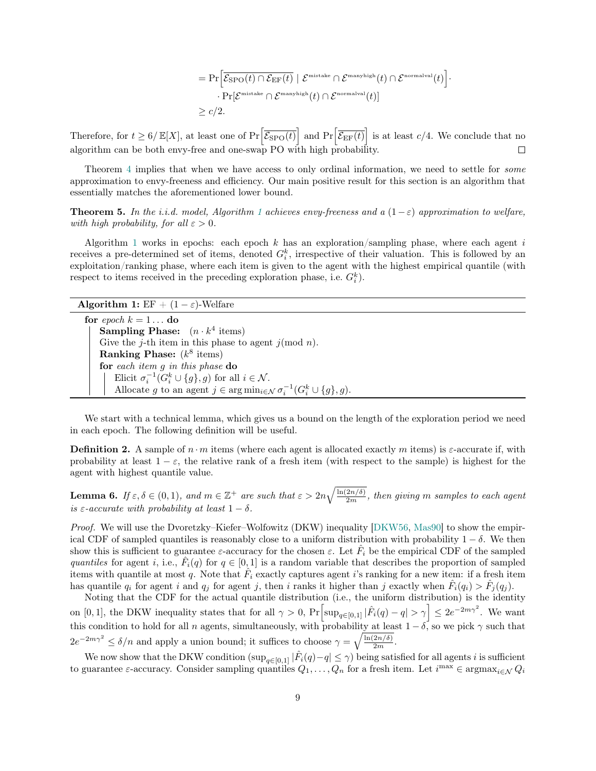$$
= \Pr \Big[ \overline{\mathcal{E}_{\rm SPO}(t) \cap \mathcal{E}_{\rm EF}(t)} \mid \mathcal{E}^{\scriptscriptstyle{\rm{mistake}}} \cap \mathcal{E}^{\scriptscriptstyle{\rm{manyhigh}}}(t) \cap \mathcal{E}^{\scriptscriptstyle{\rm{normalval}}}(t) \Big] \cdot \\ \cdot \Pr [\mathcal{E}^{\scriptscriptstyle{\rm{mistake}}} \cap \mathcal{E}^{\scriptscriptstyle{\rm{manyhigh}}}(t) \cap \mathcal{E}^{\scriptscriptstyle{\rm{normalval}}}(t)] \\ \geq c/2.
$$

Therefore, for  $t \geq 6/\mathbb{E}[X]$ , at least one of  $Pr\left[\overline{\mathcal{E}_{\rm SPO}(t)}\right]$  and  $Pr\left[\overline{\mathcal{E}_{\rm EF}(t)}\right]$  is at least  $c/4$ . We conclude that no algorithm can be both envy-free and one-swap PO with high probability.  $\Box$ 

Theorem [4](#page-6-0) implies that when we have access to only ordinal information, we need to settle for *some* approximation to envy-freeness and efficiency. Our main positive result for this section is an algorithm that essentially matches the aforementioned lower bound.

<span id="page-8-1"></span>**Theorem 5.** In the i.i.d. model, Algorithm [1](#page-8-0) achieves envy-freeness and a  $(1-\varepsilon)$  approximation to welfare, with high probability, for all  $\varepsilon > 0$ .

Algorithm [1](#page-8-0) works in epochs: each epoch  $k$  has an exploration/sampling phase, where each agent i receives a pre-determined set of items, denoted  $G_i^k$ , irrespective of their valuation. This is followed by an exploitation/ranking phase, where each item is given to the agent with the highest empirical quantile (with respect to items received in the preceding exploration phase, i.e.  $G_i^k$ .

| <b>Algorithm 1:</b> EF + $(1 - \varepsilon)$ -Welfare |  |  |  |  |  |  |
|-------------------------------------------------------|--|--|--|--|--|--|
|-------------------------------------------------------|--|--|--|--|--|--|

<span id="page-8-0"></span>for epoch  $k = 1 \dots$  do **Sampling Phase:**  $(n \cdot k^4 \text{ items})$ Give the j-th item in this phase to agent  $j(\text{mod } n)$ . Ranking Phase:  $(k^8 \text{ items})$ for each item g in this phase do Elicit  $\sigma_i^{-1}(G_i^k \cup \{g\}, g)$  for all  $i \in \mathcal{N}$ . Allocate g to an agent  $j \in \arg \min_{i \in \mathcal{N}} \sigma_i^{-1}(G_i^k \cup \{g\}, g)$ .

We start with a technical lemma, which gives us a bound on the length of the exploration period we need in each epoch. The following definition will be useful.

**Definition 2.** A sample of  $n \cdot m$  items (where each agent is allocated exactly m items) is  $\varepsilon$ -accurate if, with probability at least  $1 - \varepsilon$ , the relative rank of a fresh item (with respect to the sample) is highest for the agent with highest quantile value.

<span id="page-8-2"></span>**Lemma 6.** If  $\varepsilon, \delta \in (0,1)$ , and  $m \in \mathbb{Z}^+$  are such that  $\varepsilon > 2n\sqrt{\frac{\ln(2n/\delta)}{2m}}$ , then giving m samples to each agent is  $\varepsilon$ -accurate with probability at least  $1 - \delta$ .

Proof. We will use the Dvoretzky–Kiefer–Wolfowitz (DKW) inequality [\[DKW56,](#page-16-13) [Mas90\]](#page-17-14) to show the empirical CDF of sampled quantiles is reasonably close to a uniform distribution with probability  $1 - \delta$ . We then show this is sufficient to guarantee  $\varepsilon$ -accuracy for the chosen  $\varepsilon$ . Let  $\hat{F}_i$  be the empirical CDF of the sampled quantiles for agent i, i.e.,  $F_i(q)$  for  $q \in [0,1]$  is a random variable that describes the proportion of sampled items with quantile at most q. Note that  $F_i$  exactly captures agent i's ranking for a new item: if a fresh item has quantile  $q_i$  for agent i and  $q_j$  for agent j, then i ranks it higher than j exactly when  $\hat{F}_i(q_i) > \hat{F}_j(q_j)$ .

Noting that the CDF for the actual quantile distribution (i.e., the uniform distribution) is the identity on [0, 1], the DKW inequality states that for all  $\gamma > 0$ ,  $Pr \left[ \sup_{q \in [0,1]} |\hat{F}_i(q) - q| > \gamma \right] \leq 2e^{-2m\gamma^2}$ . We want this condition to hold for all n agents, simultaneously, with probability at least  $1 - \delta$ , so we pick  $\gamma$  such that  $2e^{-2m\gamma^2} \leq \delta/n$  and apply a union bound; it suffices to choose  $\gamma = \sqrt{\frac{\ln(2n/\delta)}{2m}}$ .

We now show that the DKW condition  $(\sup_{q\in[0,1]}|\hat{F}_i(q)-q|\leq\gamma)$  being satisfied for all agents i is sufficient to guarantee  $\varepsilon$ -accuracy. Consider sampling quantiles  $Q_1, \ldots, Q_n$  for a fresh item. Let  $i^{\max} \in \text{argmax}_{i \in \mathcal{N}} Q_i$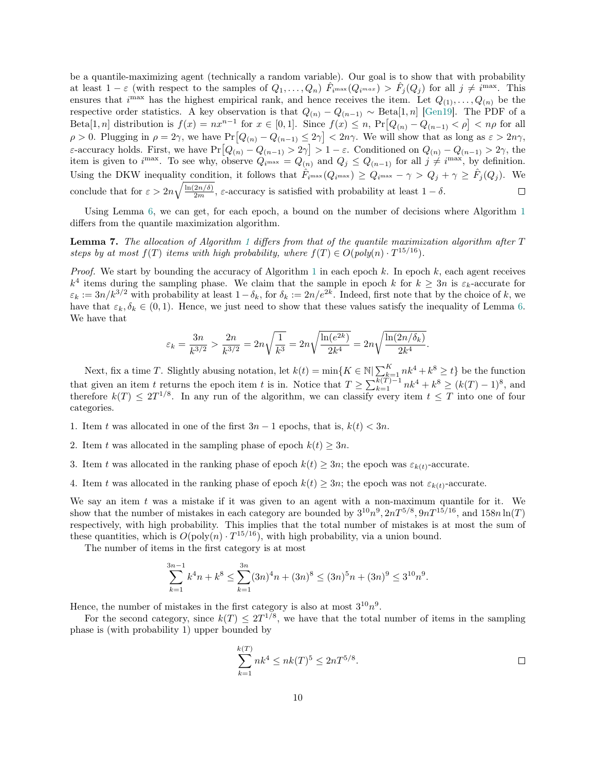be a quantile-maximizing agent (technically a random variable). Our goal is to show that with probability at least  $1-\varepsilon$  (with respect to the samples of  $Q_1,\ldots,Q_n$ )  $\hat{F}_{i^{\max}}(Q_{i^{max}}) > \hat{F}_j(Q_j)$  for all  $j \neq i^{\max}$ . This ensures that  $i^{\max}$  has the highest empirical rank, and hence receives the item. Let  $Q_{(1)}, \ldots, Q_{(n)}$  be the respective order statistics. A key observation is that  $Q_{(n)} - Q_{(n-1)} \sim \text{Beta}[1,n]$  [\[Gen19\]](#page-17-15). The PDF of a Beta[1, n] distribution is  $f(x) = nx^{n-1}$  for  $x \in [0,1]$ . Since  $f(x) \leq n$ ,  $Pr[Q_{(n)} - Q_{(n-1)} < \rho] < n\rho$  for all  $\rho > 0$ . Plugging in  $\rho = 2\gamma$ , we have  $Pr[Q_{(n)} - Q_{(n-1)} \leq 2\gamma] < 2n\gamma$ . We will show that as long as  $\varepsilon > 2n\gamma$ , ε-accuracy holds. First, we have  $Pr[Q_{(n)} - Q_{(n-1)} > 2\gamma] > 1 - \varepsilon$ . Conditioned on  $Q_{(n)} - Q_{(n-1)} > 2\gamma$ , the item is given to  $i^{\max}$ . To see why, observe  $Q_{i^{\max}} = Q_{(n)}$  and  $Q_j \leq Q_{(n-1)}$  for all  $j \neq i^{\max}$ , by definition. Using the DKW inequality condition, it follows that  $\hat{F}_{i^{\max}}(Q_{i^{\max}}) \geq Q_{i^{\max}} - \gamma > Q_j + \gamma \geq \hat{F}_j(Q_j)$ . We conclude that for  $\varepsilon > 2n\sqrt{\frac{\ln(2n/\delta)}{2m}}$ ,  $\varepsilon$ -accuracy is satisfied with probability at least  $1-\delta$ .  $\Box$ 

Using Lemma [6,](#page-8-2) we can get, for each epoch, a bound on the number of decisions where Algorithm [1](#page-8-0) differs from the quantile maximization algorithm.

<span id="page-9-0"></span>**Lemma 7.** The allocation of Algorithm [1](#page-8-0) differs from that of the quantile maximization algorithm after  $T$ steps by at most  $f(T)$  items with high probability, where  $f(T) \in O(poly(n) \cdot T^{15/16})$ .

*Proof.* We start by bounding the accuracy of Algorithm [1](#page-8-0) in each epoch k. In epoch k, each agent receives  $k^4$  items during the sampling phase. We claim that the sample in epoch k for  $k \geq 3n$  is  $\varepsilon_k$ -accurate for  $\varepsilon_k := 3n/k^{3/2}$  with probability at least  $1-\delta_k$ , for  $\delta_k := 2n/e^{2k}$ . Indeed, first note that by the choice of k, we have that  $\varepsilon_k, \delta_k \in (0, 1)$ . Hence, we just need to show that these values satisfy the inequality of Lemma [6.](#page-8-2) We have that

$$
\varepsilon_k = \frac{3n}{k^{3/2}} > \frac{2n}{k^{3/2}} = 2n\sqrt{\frac{1}{k^3}} = 2n\sqrt{\frac{\ln(e^{2k})}{2k^4}} = 2n\sqrt{\frac{\ln(2n/\delta_k)}{2k^4}}.
$$

Next, fix a time T. Slightly abusing notation, let  $k(t) = \min\{K \in \mathbb{N} | \sum_{k=1}^{K} nk^4 + k^8 \ge t\}$  be the function that given an item t returns the epoch item t is in. Notice that  $T \geq \sum_{k=1}^{k(T)-1} nk^4 + k^8 \geq (k(T)-1)^8$ , and therefore  $k(T) \leq 2T^{1/8}$ . In any run of the algorithm, we can classify every item  $t \leq T$  into one of four categories.

- 1. Item t was allocated in one of the first  $3n-1$  epochs, that is,  $k(t) < 3n$ .
- 2. Item t was allocated in the sampling phase of epoch  $k(t) \geq 3n$ .
- 3. Item t was allocated in the ranking phase of epoch  $k(t) \geq 3n$ ; the epoch was  $\varepsilon_{k(t)}$ -accurate.
- 4. Item t was allocated in the ranking phase of epoch  $k(t) \geq 3n$ ; the epoch was not  $\varepsilon_{k(t)}$ -accurate.

We say an item  $t$  was a mistake if it was given to an agent with a non-maximum quantile for it. We show that the number of mistakes in each category are bounded by  $3^{10}n^9$ ,  $2nT^{5/8}$ ,  $9nT^{15/16}$ , and  $158n\ln(T)$ respectively, with high probability. This implies that the total number of mistakes is at most the sum of these quantities, which is  $O(poly(n) \cdot T^{15/16})$ , with high probability, via a union bound.

The number of items in the first category is at most

$$
\sum_{k=1}^{3n-1} k^4 n + k^8 \le \sum_{k=1}^{3n} (3n)^4 n + (3n)^8 \le (3n)^5 n + (3n)^9 \le 3^{10} n^9.
$$

Hence, the number of mistakes in the first category is also at most  $3^{10}n^9$ .

For the second category, since  $k(T) \leq 2T^{1/8}$ , we have that the total number of items in the sampling phase is (with probability 1) upper bounded by

$$
\sum_{k=1}^{k(T)} nk^4 \le nk(T)^5 \le 2nT^{5/8}.
$$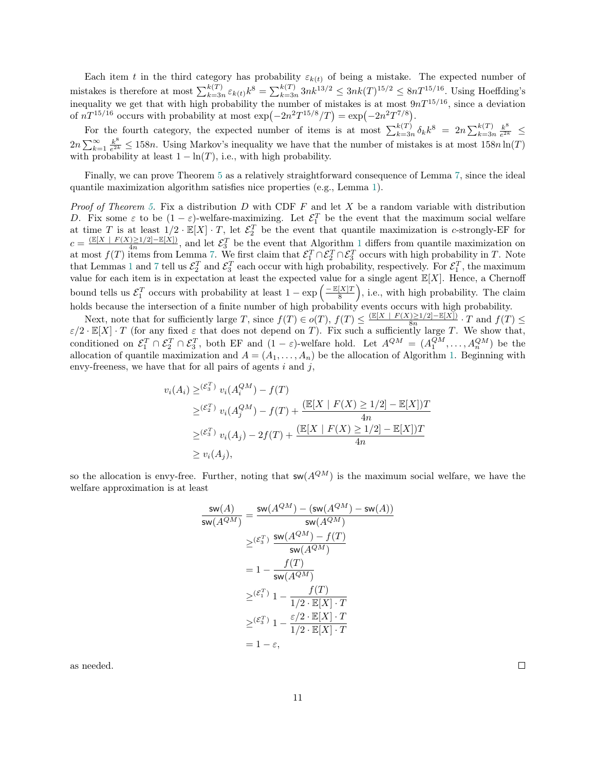Each item t in the third category has probability  $\varepsilon_{k(t)}$  of being a mistake. The expected number of mistakes is therefore at most  $\sum_{k=3n}^{k(T)} \varepsilon_{k(t)} k^8 = \sum_{k=3n}^{k(T)} 3nk^{13/2} \leq 3nk(T)^{15/2} \leq 8nT^{15/16}$ . Using Hoeffding's inequality we get that with high probability the number of mistakes is at most  $9nT^{15/16}$ , since a deviation of  $nT^{15/16}$  occurs with probability at most  $\exp(-2n^2T^{15/8}/T) = \exp(-2n^2T^{7/8})$ .

For the fourth category, the expected number of items is at most  $\sum_{k=3n}^{k(T)} \delta_k k^8 = 2n \sum_{k=3n}^{k(T)} \frac{k^8}{e^{2k}}$  $rac{k^{\circ}}{e^{2k}} \leq$  $2n\sum_{k=1}^{\infty}\frac{k^{8}}{e^{2k}}$  $\frac{k^{\circ}}{e^{2k}} \le 158n$ . Using Markov's inequality we have that the number of mistakes is at most  $158n \ln(T)$ with probability at least  $1 - \ln(T)$ , i.e., with high probability.

Finally, we can prove Theorem [5](#page-8-1) as a relatively straightforward consequence of Lemma [7,](#page-9-0) since the ideal quantile maximization algorithm satisfies nice properties (e.g., Lemma [1\)](#page-3-0).

*Proof of Theorem [5.](#page-8-1)* Fix a distribution  $D$  with CDF  $F$  and let  $X$  be a random variable with distribution D. Fix some  $\varepsilon$  to be  $(1-\varepsilon)$ -welfare-maximizing. Let  $\mathcal{E}_1^T$  be the event that the maximum social welfare at time T is at least  $1/2 \cdot \mathbb{E}[X] \cdot T$ , let  $\mathcal{E}_2^T$  be the event that quantile maximization is c-strongly-EF for  $c = \frac{\left(\mathbb{E}[X \mid F(X) \geq 1/2] - \mathbb{E}[X]\right)}{4n}$  $\frac{\sum 1}{2}$  $\frac{\sum 1}{2}$  $\frac{\sum 1}{2}$  =  $\frac{1}{2}$  =  $\frac{1}{2}$ , and let  $\mathcal{E}_3^T$  be the event that Algorithm 1 differs from quantile maximization on at most  $f(T)$  items from Lemma [7.](#page-9-0) We first claim that  $\mathcal{E}_1^T \cap \mathcal{E}_2^T \cap \mathcal{E}_3^T$  occurs with high probability in T. Note that Lemmas [1](#page-3-0) and [7](#page-9-0) tell us  $\mathcal{E}_2^T$  and  $\mathcal{E}_3^T$  each occur with high probability, respectively. For  $\mathcal{E}_1^T$ , the maximum value for each item is in expectation at least the expected value for a single agent  $\mathbb{E}[X]$ . Hence, a Chernoff bound tells us  $\mathcal{E}_1^T$  occurs with probability at least  $1 - \exp\left(-\frac{\mathbb{E}[X]T}{8}\right)$  $\frac{[X]T}{8}$ , i.e., with high probability. The claim holds because the intersection of a finite number of high probability events occurs with high probability.

Next, note that for sufficiently large T, since  $f(T) \in o(T)$ ,  $f(T) \leq \frac{(\mathbb{E}[X] + F(X) \geq 1/2] - \mathbb{E}[X])}{8n}$  $\frac{1\geq 1/2 - \mathbb{E}[X]}{8n} \cdot T$  and  $f(T) \leq$  $\varepsilon/2 \cdot \mathbb{E}[X] \cdot T$  (for any fixed  $\varepsilon$  that does not depend on T). Fix such a sufficiently large T. We show that, conditioned on  $\mathcal{E}_1^T \cap \mathcal{E}_2^T \cap \mathcal{E}_3^T$ , both EF and  $(1 - \varepsilon)$ -welfare hold. Let  $A^{QM} = (A_1^{QM}, \ldots, A_n^{QM})$  be the allocation of quantile maximization and  $A = (A_1, \ldots, A_n)$  be the allocation of Algorithm [1.](#page-8-0) Beginning with envy-freeness, we have that for all pairs of agents  $i$  and  $j$ ,

$$
v_i(A_i) \geq {({\mathcal{E}}_3^T)} v_i(A_i^{QM}) - f(T)
$$
  
\n
$$
\geq {({\mathcal{E}}_2^T)} v_i(A_j^{QM}) - f(T) + \frac{{(\mathbb{E}[X \mid F(X) \geq 1/2] - \mathbb{E}[X])T}}{4n}
$$
  
\n
$$
\geq {({\mathcal{E}}_3^T)} v_i(A_j) - 2f(T) + \frac{{(\mathbb{E}[X \mid F(X) \geq 1/2] - \mathbb{E}[X])T}}{4n}
$$
  
\n
$$
\geq v_i(A_j),
$$

so the allocation is envy-free. Further, noting that  $sw(A^{QM})$  is the maximum social welfare, we have the welfare approximation is at least

$$
\frac{\mathsf{sw}(A)}{\mathsf{sw}(A^{QM})} = \frac{\mathsf{sw}(A^{QM}) - (\mathsf{sw}(A^{QM}) - \mathsf{sw}(A))}{\mathsf{sw}(A^{QM})}
$$

$$
\geq (\varepsilon_3^T) \frac{\mathsf{sw}(A^{QM}) - f(T)}{\mathsf{sw}(A^{QM})}
$$

$$
= 1 - \frac{f(T)}{\mathsf{sw}(A^{QM})}
$$

$$
\geq (\varepsilon_1^T) \cdot 1 - \frac{f(T)}{1/2 \cdot \mathbb{E}[X] \cdot T}
$$

$$
\geq (\varepsilon_3^T) \cdot 1 - \frac{\varepsilon/2 \cdot \mathbb{E}[X] \cdot T}{1/2 \cdot \mathbb{E}[X] \cdot T}
$$

$$
= 1 - \varepsilon,
$$

as needed.

 $\Box$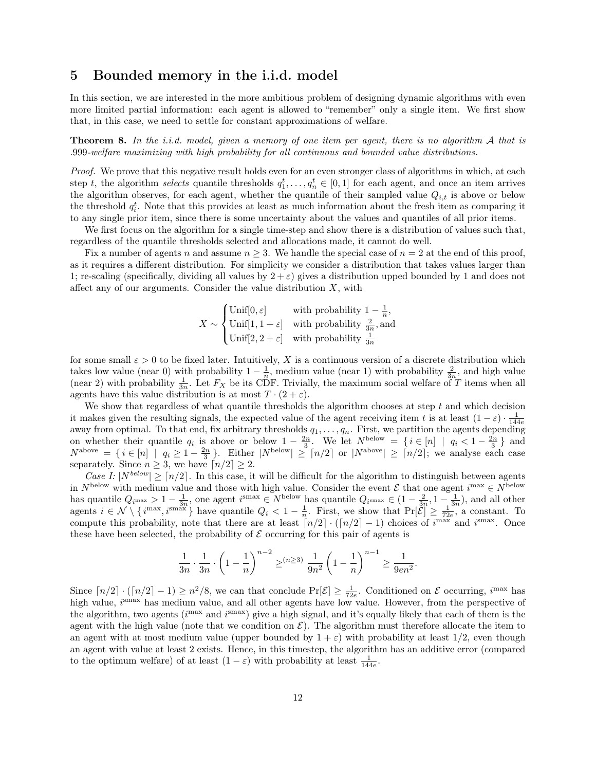# 5 Bounded memory in the i.i.d. model

In this section, we are interested in the more ambitious problem of designing dynamic algorithms with even more limited partial information: each agent is allowed to "remember" only a single item. We first show that, in this case, we need to settle for constant approximations of welfare.

**Theorem 8.** In the *i.i.d.* model, given a memory of one item per agent, there is no algorithm A that is .999-welfare maximizing with high probability for all continuous and bounded value distributions.

Proof. We prove that this negative result holds even for an even stronger class of algorithms in which, at each step t, the algorithm selects quantile thresholds  $q_1^t, \ldots, q_n^t \in [0,1]$  for each agent, and once an item arrives the algorithm observes, for each agent, whether the quantile of their sampled value  $Q_{i,t}$  is above or below the threshold  $q_i^t$ . Note that this provides at least as much information about the fresh item as comparing it to any single prior item, since there is some uncertainty about the values and quantiles of all prior items.

We first focus on the algorithm for a single time-step and show there is a distribution of values such that, regardless of the quantile thresholds selected and allocations made, it cannot do well.

Fix a number of agents n and assume  $n \geq 3$ . We handle the special case of  $n = 2$  at the end of this proof, as it requires a different distribution. For simplicity we consider a distribution that takes values larger than 1; re-scaling (specifically, dividing all values by  $2 + \varepsilon$ ) gives a distribution upped bounded by 1 and does not affect any of our arguments. Consider the value distribution  $X$ , with

$$
X \sim \begin{cases} \text{Unif}[0, \varepsilon] & \text{with probability } 1 - \frac{1}{n}, \\ \text{Unif}[1, 1 + \varepsilon] & \text{with probability } \frac{2}{3n}, \text{and} \\ \text{Unif}[2, 2 + \varepsilon] & \text{with probability } \frac{1}{3n} \end{cases}
$$

for some small  $\varepsilon > 0$  to be fixed later. Intuitively, X is a continuous version of a discrete distribution which takes low value (near 0) with probability  $1-\frac{1}{n}$ , medium value (near 1) with probability  $\frac{2}{3n}$ , and high value (near 2) with probability  $\frac{1}{3n}$ . Let  $F_X$  be its CDF. Trivially, the maximum social welfare of T items when all agents have this value distribution is at most  $T \cdot (2 + \varepsilon)$ .

We show that regardless of what quantile thresholds the algorithm chooses at step  $t$  and which decision it makes given the resulting signals, the expected value of the agent receiving item t is at least  $(1 - \varepsilon) \cdot \frac{1}{100}$ to makes given the resulting signals, the expected variation the agent receiving field to is at least  $(1 - \varepsilon)^{-1}$  and away from optimal. To that end, fix arbitrary thresholds  $q_1, \ldots, q_n$ . First, we partition the agents on whether their quantile  $q_i$  is above or below  $1 - \frac{2n}{3}$ . We let  $N^{\text{below}} = \{i \in [n] \mid q_i < 1 - \frac{2n}{3}\}\$  and  $N^{\text{above}} = \{i \in [n] \mid q_i \geq 1 - \frac{2n}{3}\}.$  Either  $|N^{\text{below}}| \geq \lceil n/2 \rceil$  or  $|N^{\text{above}}| \geq \lceil n/2 \rceil$ ; we analyse each case separately. Since  $n \geq 3$ , we have  $\lceil n/2 \rceil \geq 2$ .

Case I:  $|N^{below}| \geq \lceil n/2 \rceil$ . In this case, it will be difficult for the algorithm to distinguish between agents in  $N^{\text{below}}$  with medium value and those with high value. Consider the event  $\mathcal E$  that one agent  $i^{\max} \in N^{\text{below}}$ has quantile  $Q_{i^{\max}} > 1 - \frac{1}{3n}$ , one agent  $i^{\text{smax}} \in N^{\text{below}}$  has quantile  $Q_{i^{\text{smax}}} \in (1 - \frac{2}{3n}, 1 - \frac{1}{3n})$ , and all other agents  $i \in \mathcal{N} \setminus \{i^{\max}, i^{\text{smax}}\}$  have quantile  $Q_i < 1 - \frac{1}{n}$ . First, we show that  $\Pr[\mathcal{E}] \ge \frac{1}{72e}$ , a constant. To compute this probability, note that there are at least  $\lceil n/2 \rceil \cdot (\lceil n/2 \rceil - 1)$  choices of  $i^{\max}$  and  $i^{\max}$ . Once these have been selected, the probability of  $\mathcal E$  occurring for this pair of agents is

$$
\frac{1}{3n} \cdot \frac{1}{3n} \cdot \left(1 - \frac{1}{n}\right)^{n-2} \geq^{(n \geq 3)} \frac{1}{9n^2} \left(1 - \frac{1}{n}\right)^{n-1} \geq \frac{1}{9en^2}.
$$

Since  $\lceil n/2 \rceil \cdot (\lceil n/2 \rceil - 1) \ge n^2/8$ , we can that conclude  $Pr[\mathcal{E}] \ge \frac{1}{72e}$ . Conditioned on  $\mathcal E$  occurring,  $i^{\max}$  has high value,  $i^{\text{smax}}$  has medium value, and all other agents have low value. However, from the perspective of the algorithm, two agents ( $i^{\text{max}}$  and  $i^{\text{smax}}$ ) give a high signal, and it's equally likely that each of them is the agent with the high value (note that we condition on  $\mathcal{E}$ ). The algorithm must therefore allocate the item to an agent with at most medium value (upper bounded by  $1 + \varepsilon$ ) with probability at least 1/2, even though an agent with value at least 2 exists. Hence, in this timestep, the algorithm has an additive error (compared to the optimum welfare) of at least  $(1 - \varepsilon)$  with probability at least  $\frac{1}{144e}$ .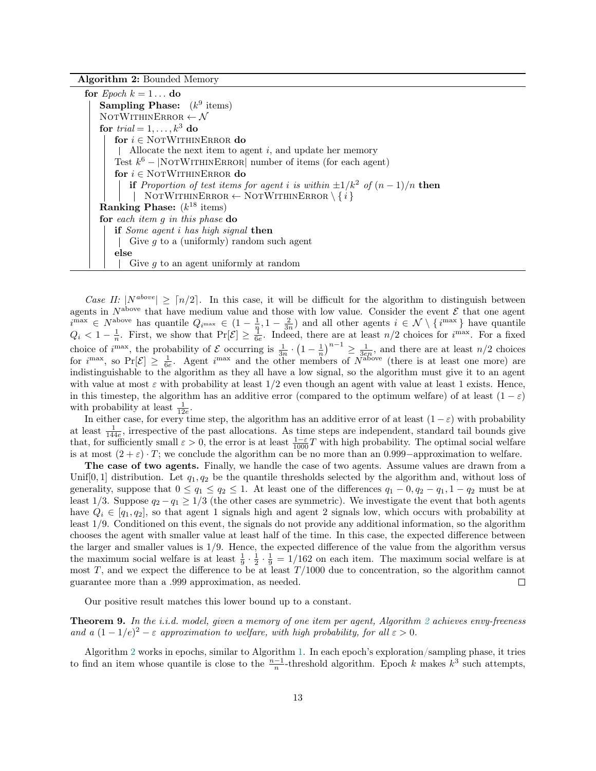Algorithm 2: Bounded Memory

<span id="page-12-0"></span>

| for <i>Epoch</i> $k = 1 \dots$ do                                                      |  |  |  |
|----------------------------------------------------------------------------------------|--|--|--|
| <b>Sampling Phase:</b> $(k^9$ items)                                                   |  |  |  |
| NOTWITHINERROR $\leftarrow \mathcal{N}$                                                |  |  |  |
| for trial = $1, \ldots, k^3$ do                                                        |  |  |  |
| for $i \in$ NOTWITHINERROR do                                                          |  |  |  |
| Allocate the next item to agent $i$ , and update her memory                            |  |  |  |
| Test $k^6$ – NOTWITHINERROR number of items (for each agent)                           |  |  |  |
| for $i \in \text{NOTWITHINERROR}$ do                                                   |  |  |  |
| <b>if</b> Proportion of test items for agent i is within $\pm 1/k^2$ of $(n-1)/n$ then |  |  |  |
| NOTWITHINERROR $\leftarrow$ NOTWITHINERROR $\setminus \{i\}$                           |  |  |  |
| <b>Ranking Phase:</b> $(k^{18}$ items)                                                 |  |  |  |
| for each item $q$ in this phase do                                                     |  |  |  |
| if Some agent i has high signal then                                                   |  |  |  |
| Give $q$ to a (uniformly) random such agent                                            |  |  |  |
| else                                                                                   |  |  |  |
| Give $q$ to an agent uniformly at random                                               |  |  |  |

Case II:  $|N^{above}| \geq \lceil n/2 \rceil$ . In this case, it will be difficult for the algorithm to distinguish between agents in  $N^{\text{above}}$  that have medium value and those with low value. Consider the event  $\mathcal E$  that one agent  $i^{\max} \in N^{\text{above}}$  has quantile  $Q_{i^{\max}} \in (1 - \frac{1}{n}, 1 - \frac{2}{3n})$  and all other agents  $i \in \mathcal{N} \setminus \{i^{\max}\}\$  have quantile  $Q_i < 1-\frac{1}{n}$ . First, we show that  $Pr[\mathcal{E}] \geq \frac{1}{6e}$ . Indeed, there are at least  $n/2$  choices for  $i^{max}$ . For a fixed choice of  $i^{\max}$ , the probability of  $\mathcal E$  occurring is  $\frac{1}{3n} \cdot \left(1 - \frac{1}{n}\right)^{n-1} \ge \frac{1}{3en}$ , and there are at least  $n/2$  choices for  $i^{\max}$ , so  $Pr[\mathcal{E}] \geq \frac{1}{6e}$ . Agent  $i^{\max}$  and the other members of  $N^{\text{above}}$  (there is at least one more) are indistinguishable to the algorithm as they all have a low signal, so the algorithm must give it to an agent with value at most  $\varepsilon$  with probability at least  $1/2$  even though an agent with value at least 1 exists. Hence, in this timestep, the algorithm has an additive error (compared to the optimum welfare) of at least  $(1 - \varepsilon)$ with probability at least  $\frac{1}{12e}$ .

In either case, for every time step, the algorithm has an additive error of at least  $(1 - \varepsilon)$  with probability at least  $\frac{1}{144e}$ , irrespective of the past allocations. As time steps are independent, standard tail bounds give that, for sufficiently small  $\varepsilon > 0$ , the error is at least  $\frac{1-\varepsilon}{1000}T$  with high probability. The optimal social welfare is at most  $(2 + \varepsilon) \cdot T$ ; we conclude the algorithm can be no more than an 0.999–approximation to welfare.

The case of two agents. Finally, we handle the case of two agents. Assume values are drawn from a Unif[0, 1] distribution. Let  $q_1, q_2$  be the quantile thresholds selected by the algorithm and, without loss of generality, suppose that  $0 \le q_1 \le q_2 \le 1$ . At least one of the differences  $q_1 - 0$ ,  $q_2 - q_1$ ,  $1 - q_2$  must be at least 1/3. Suppose  $q_2 - q_1 \geq 1/3$  (the other cases are symmetric). We investigate the event that both agents have  $Q_i \in [q_1, q_2]$ , so that agent 1 signals high and agent 2 signals low, which occurs with probability at least 1/9. Conditioned on this event, the signals do not provide any additional information, so the algorithm chooses the agent with smaller value at least half of the time. In this case, the expected difference between the larger and smaller values is 1/9. Hence, the expected difference of the value from the algorithm versus the maximum social welfare is at least  $\frac{1}{9} \cdot \frac{1}{2} \cdot \frac{1}{9} = 1/162$  on each item. The maximum social welfare is at most T, and we expect the difference to be at least  $T/1000$  due to concentration, so the algorithm cannot guarantee more than a .999 approximation, as needed.  $\Box$ 

Our positive result matches this lower bound up to a constant.

<span id="page-12-1"></span>**Theorem 9.** In the i.i.d. model, given a memory of one item per agent, Algorithm [2](#page-12-0) achieves envy-freeness and a  $(1-1/e)^2 - \varepsilon$  approximation to welfare, with high probability, for all  $\varepsilon > 0$ .

Algorithm [2](#page-12-0) works in epochs, similar to Algorithm [1.](#page-8-0) In each epoch's exploration/sampling phase, it tries to find an item whose quantile is close to the  $\frac{n-1}{n}$ -threshold algorithm. Epoch k makes  $k^3$  such attempts,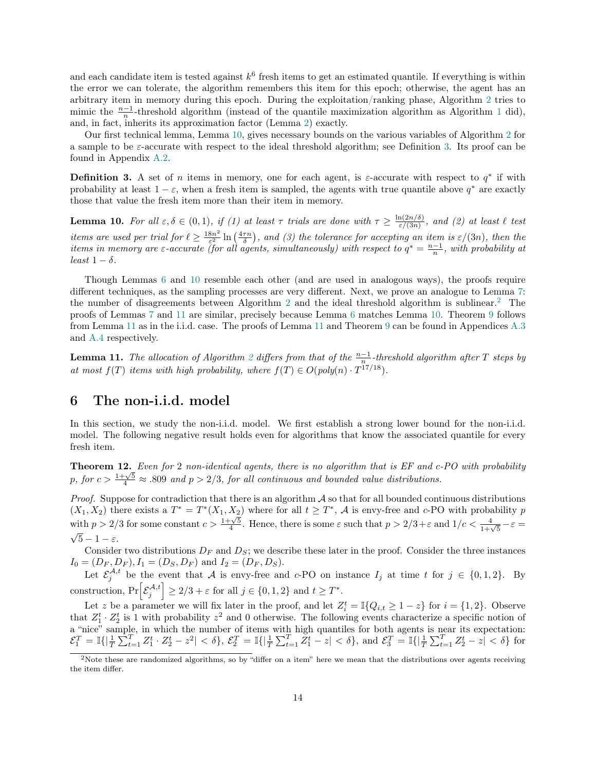and each candidate item is tested against  $k^6$  fresh items to get an estimated quantile. If everything is within the error we can tolerate, the algorithm remembers this item for this epoch; otherwise, the agent has an arbitrary item in memory during this epoch. During the exploitation/ranking phase, Algorithm [2](#page-12-0) tries to mimic the  $\frac{n-1}{n}$  $\frac{n-1}{n}$  $\frac{n-1}{n}$ -threshold algorithm (instead of the quantile maximization algorithm as Algorithm 1 did), and, in fact, inherits its approximation factor (Lemma [2\)](#page-4-0) exactly.

Our first technical lemma, Lemma [10,](#page-13-1) gives necessary bounds on the various variables of Algorithm [2](#page-12-0) for a sample to be  $\varepsilon$ -accurate with respect to the ideal threshold algorithm; see Definition [3.](#page-13-2) Its proof can be found in Appendix [A.2.](#page-20-0)

<span id="page-13-2"></span>**Definition 3.** A set of n items in memory, one for each agent, is  $\varepsilon$ -accurate with respect to  $q^*$  if with probability at least  $1 - \varepsilon$ , when a fresh item is sampled, the agents with true quantile above  $q^*$  are exactly those that value the fresh item more than their item in memory.

<span id="page-13-1"></span>**Lemma 10.** For all  $\varepsilon, \delta \in (0,1)$ , if (1) at least  $\tau$  trials are done with  $\tau \geq \frac{\ln(2n/\delta)}{\varepsilon/(3n)}$  $\frac{\ln(2n/ \delta)}{\varepsilon/(3n)}$ , and (2) at least  $\ell$  test items are used per trial for  $\ell \geq \frac{18n^2}{5^2}$  $\frac{8n^2}{\varepsilon^2} \ln\left(\frac{4\tau n}{\delta}\right)$ , and (3) the tolerance for accepting an item is  $\varepsilon/(3n)$ , then the items in memory are  $\varepsilon$ -accurate (for all agents, simultaneously) with respect to  $q^* = \frac{n-1}{n}$ , with probability at least  $1 - \delta$ .

Though Lemmas [6](#page-8-2) and [10](#page-13-1) resemble each other (and are used in analogous ways), the proofs require different techniques, as the sampling processes are very different. Next, we prove an analogue to Lemma [7:](#page-9-0) the number of disagreements between Algorithm [2](#page-13-3) and the ideal threshold algorithm is sublinear.<sup>2</sup> The proofs of Lemmas [7](#page-9-0) and [11](#page-13-4) are similar, precisely because Lemma [6](#page-8-2) matches Lemma [10.](#page-13-1) Theorem [9](#page-12-1) follows from Lemma [11](#page-13-4) as in the i.i.d. case. The proofs of Lemma [11](#page-13-4) and Theorem [9](#page-12-1) can be found in Appendices [A.3](#page-21-0) and [A.4](#page-22-0) respectively.

<span id="page-13-4"></span>**Lemma 11.** The allocation of Algorithm [2](#page-12-0) differs from that of the  $\frac{n-1}{n}$ -threshold algorithm after T steps by at most  $f(T)$  items with high probability, where  $f(T) \in O(poly(n) \cdot T^{17/18})$ .

# 6 The non-i.i.d. model

In this section, we study the non-i.i.d. model. We first establish a strong lower bound for the non-i.i.d. model. The following negative result holds even for algorithms that know the associated quantile for every fresh item.

<span id="page-13-0"></span>Theorem 12. Even for 2 non-identical agents, there is no algorithm that is EF and c-PO with probability p, for  $c > \frac{1+\sqrt{5}}{4} \approx .809$  and  $p > 2/3$ , for all continuous and bounded value distributions.

*Proof.* Suppose for contradiction that there is an algorithm  $\mathcal A$  so that for all bounded continuous distributions  $(X_1, X_2)$  there exists a  $T^* = T^*(X_1, X_2)$  where for all  $t \geq T^*$ ,  $\mathcal A$  is envy-free and c-PO with probability  $p$  with  $p > 2/3$  for some constant  $c > \frac{1+\sqrt{5}}{4}$ . Hence, there is some  $\varepsilon$  such that  $p > 2/3 + \varepsilon$  a  $\sqrt{5} - 1 - \varepsilon$ .

Consider two distributions  $D_F$  and  $D_S$ ; we describe these later in the proof. Consider the three instances  $I_0 = (D_F, D_F), I_1 = (D_S, D_F)$  and  $I_2 = (D_F, D_S)$ .

Let  $\mathcal{E}_j^{\mathcal{A},t}$  be the event that A is envy-free and c-PO on instance  $I_j$  at time t for  $j \in \{0,1,2\}$ . By construction,  $\Pr\left[\mathcal{E}_{j}^{\mathcal{A},t}\right] \geq 2/3 + \varepsilon$  for all  $j \in \{0,1,2\}$  and  $t \geq T^*$ .

Let z be a parameter we will fix later in the proof, and let  $Z_i^t = \mathbb{I}\{Q_{i,t} \geq 1-z\}$  for  $i = \{1,2\}$ . Observe that  $Z_1^t \cdot Z_2^t$  is 1 with probability  $z^2$  and 0 otherwise. The following events characterize a specific notion of a "nice" sample, in which the number of items with high quantiles for both agents is near its expectation:  $\mathcal{E}_1^T = \mathbb{I}\{|\frac{1}{T}\sum_{t=1}^T Z_1^t \cdot Z_2^t - z^2| < \delta\}, \ \mathcal{E}_2^T = \mathbb{I}\{|\frac{1}{T}\sum_{t=1}^T Z_1^t - z| < \delta\}, \text{ and } \mathcal{E}_3^T = \mathbb{I}\{|\frac{1}{T}\sum_{t=1}^T Z_2^t - z| < \delta\}$  for

<span id="page-13-3"></span> $2$ Note these are randomized algorithms, so by "differ on a item" here we mean that the distributions over agents receiving the item differ.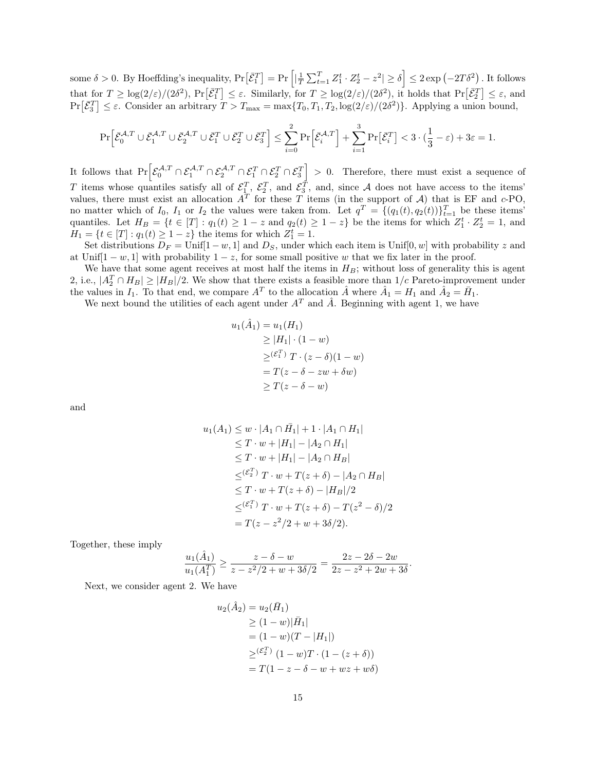some  $\delta > 0$ . By Hoeffding's inequality,  $\Pr[\bar{\mathcal{E}}_1^T] = \Pr\left[|\frac{1}{T}\sum_{t=1}^T Z_1^t \cdot Z_2^t - z^2| \ge \delta\right] \le 2 \exp\left(-2T\delta^2\right)$ . It follows that for  $T \geq \log(2/\varepsilon)/(2\delta^2)$ ,  $\Pr[\bar{\mathcal{E}}_1^T] \leq \varepsilon$ . Similarly, for  $T \geq \log(2/\varepsilon)/(2\delta^2)$ , it holds that  $\Pr[\bar{\mathcal{E}}_2^T] \leq \varepsilon$ , and  $Pr[\bar{E}_3^T] \leq \varepsilon$ . Consider an arbitrary  $T > T_{\text{max}} = \max\{T_0, T_1, T_2, \log(2/\varepsilon)/(2\delta^2)\}\.$  Applying a union bound,

$$
\Pr\Big[\bar{\mathcal{E}}_0^{\mathcal{A},T} \cup \bar{\mathcal{E}}_1^{\mathcal{A},T} \cup \bar{\mathcal{E}}_2^{\mathcal{A},T} \cup \bar{\mathcal{E}}_1^T \cup \bar{\mathcal{E}}_2^T \cup \bar{\mathcal{E}}_3^T\Big]\leq \sum_{i=0}^2 \Pr\Big[\bar{\mathcal{E}}_i^{\mathcal{A},T}\Big] + \sum_{i=1}^3 \Pr\big[\bar{\mathcal{E}}_i^T\big] < 3\cdot (\frac{1}{3}-\varepsilon) + 3\varepsilon = 1.
$$

It follows that  $Pr\left[\mathcal{E}_0^{\mathcal{A},T} \cap \mathcal{E}_1^{\mathcal{A},T} \cap \mathcal{E}_2^T \cap \mathcal{E}_1^T \cap \mathcal{E}_2^T \cap \mathcal{E}_3^T\right] > 0$ . Therefore, there must exist a sequence of T items whose quantiles satisfy all of  $\mathcal{E}_1^T$ ,  $\mathcal{E}_2^T$ , and  $\mathcal{E}_3^T$ , and, since A does not have access to the items' values, there must exist an allocation  $A<sup>T</sup>$  for these T items (in the support of A) that is EF and c-PO, no matter which of  $I_0$ ,  $I_1$  or  $I_2$  the values were taken from. Let  $q^T = \{(q_1(t), q_2(t))\}_{t=1}^T$  be these items' quantiles. Let  $H_B = \{t \in [T] : q_1(t) \geq 1 - z \text{ and } q_2(t) \geq 1 - z\}$  be the items for which  $Z_1^t \cdot Z_2^t = 1$ , and  $H_1 = \{ t \in [T] : q_1(t) \ge 1 - z \}$  the items for which  $Z_1^t = 1$ .

Set distributions  $D_F = \text{Unif}[1-w, 1]$  and  $D_S$ , under which each item is  $\text{Unif}[0, w]$  with probability z and at Unif $[1 - w, 1]$  with probability  $1 - z$ , for some small positive w that we fix later in the proof.

We have that some agent receives at most half the items in  $H_B$ ; without loss of generality this is agent 2, i.e.,  $|A_2^T \cap H_B| \ge |H_B|/2$ . We show that there exists a feasible more than  $1/c$  Pareto-improvement under the values in  $I_1$ . To that end, we compare  $A^T$  to the allocation  $\hat{A}$  where  $\hat{A}_1 = H_1$  and  $\hat{A}_2 = \bar{H}_1$ .

We next bound the utilities of each agent under  $A<sup>T</sup>$  and  $\hat{A}$ . Beginning with agent 1, we have

$$
u_1(\hat{A}_1) = u_1(H_1)
$$
  
\n
$$
\geq |H_1| \cdot (1 - w)
$$
  
\n
$$
\geq (\varepsilon_1^T) \cdot (z - \delta)(1 - w)
$$
  
\n
$$
= T(z - \delta - zw + \delta w)
$$
  
\n
$$
\geq T(z - \delta - w)
$$

and

$$
u_1(A_1) \leq w \cdot |A_1 \cap \bar{H_1}| + 1 \cdot |A_1 \cap H_1|
$$
  
\n
$$
\leq T \cdot w + |H_1| - |A_2 \cap H_1|
$$
  
\n
$$
\leq T \cdot w + |H_1| - |A_2 \cap H_B|
$$
  
\n
$$
\leq (\varepsilon_2^T) T \cdot w + T(z + \delta) - |A_2 \cap H_B|
$$
  
\n
$$
\leq T \cdot w + T(z + \delta) - |H_B|/2
$$
  
\n
$$
\leq (\varepsilon_1^T) T \cdot w + T(z + \delta) - T(z^2 - \delta)/2
$$
  
\n
$$
= T(z - z^2/2 + w + 3\delta/2).
$$

Together, these imply

$$
\frac{u_1(\hat{A}_1)}{u_1(A_1^T)} \ge \frac{z-\delta-w}{z-z^2/2+w+3\delta/2} = \frac{2z-2\delta-2w}{2z-z^2+2w+3\delta}.
$$

Next, we consider agent 2. We have

$$
u_2(\hat{A}_2) = u_2(\bar{H}_1)
$$
  
\n
$$
\ge (1 - w)|\bar{H}_1|
$$
  
\n
$$
= (1 - w)(T - |H_1|)
$$
  
\n
$$
\ge {(\varepsilon_2^T) (1 - w)T \cdot (1 - (z + \delta))}
$$
  
\n
$$
= T(1 - z - \delta - w + wz + w\delta)
$$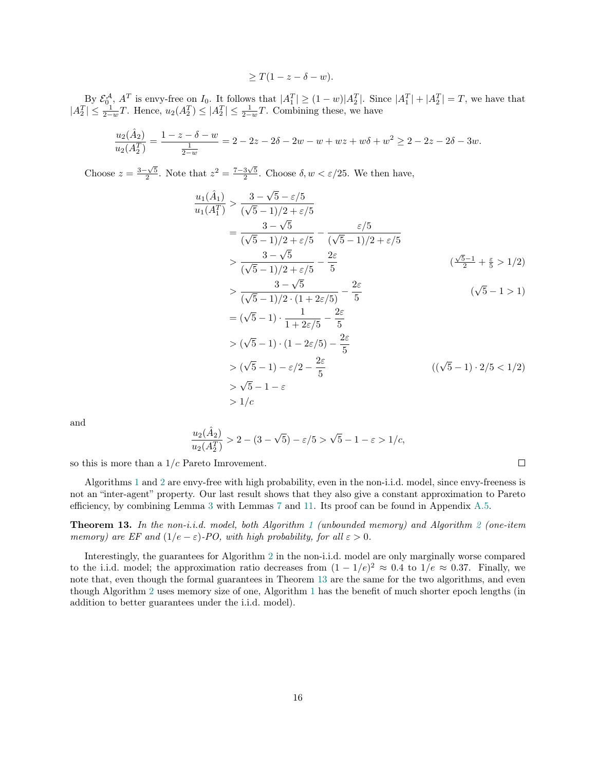$$
\geq T(1-z-\delta-w).
$$

By  $\mathcal{E}_0^{\mathcal{A}}, A^T$  is envy-free on  $I_0$ . It follows that  $|A_1^T| \ge (1-w)|A_2^T|$ . Since  $|A_1^T| + |A_2^T| = T$ , we have that  $|A_2^T| \leq \frac{1}{2-w}T$ . Hence,  $u_2(A_2^T) \leq |A_2^T| \leq \frac{1}{2-w}T$ . Combining these, we have

$$
\frac{u_2(\hat{A}_2)}{u_2(A_2^T)} = \frac{1 - z - \delta - w}{\frac{1}{2 - w}} = 2 - 2z - 2\delta - 2w - w + wz + w\delta + w^2 \ge 2 - 2z - 2\delta - 3w.
$$

Choose  $z = \frac{3-\sqrt{5}}{2}$ . Note that  $z^2 = \frac{7-3\sqrt{5}}{2}$ . Choose  $\delta, w < \varepsilon/25$ . We then have,

$$
\frac{u_1(\hat{A}_1)}{u_1(A_1^T)} > \frac{3 - \sqrt{5} - \varepsilon/5}{(\sqrt{5} - 1)/2 + \varepsilon/5} \n= \frac{3 - \sqrt{5}}{(\sqrt{5} - 1)/2 + \varepsilon/5} - \frac{\varepsilon/5}{(\sqrt{5} - 1)/2 + \varepsilon/5} \n> \frac{3 - \sqrt{5}}{(\sqrt{5} - 1)/2 + \varepsilon/5} - \frac{2\varepsilon}{5} \n> \frac{3 - \sqrt{5}}{(\sqrt{5} - 1)/2 \cdot (1 + 2\varepsilon/5)} - \frac{2\varepsilon}{5} \n= (\sqrt{5} - 1) \cdot \frac{1}{1 + 2\varepsilon/5} - \frac{2\varepsilon}{5} \n> (\sqrt{5} - 1) \cdot (1 - 2\varepsilon/5) - \frac{2\varepsilon}{5} \n> (\sqrt{5} - 1) \cdot (1 - 2\varepsilon/5) - \frac{2\varepsilon}{5} \n> (\sqrt{5} - 1) \cdot 2/5 < 1/2 \n> \sqrt{5} - 1 - \varepsilon \n> 1/c
$$

and

$$
\frac{u_2(\hat{A}_2)}{u_2(A_2^T)} > 2-(3-\sqrt{5})-\varepsilon/5 > \sqrt{5}-1-\varepsilon > 1/c,
$$

so this is more than a  $1/c$  Pareto Imrovement.

Algorithms [1](#page-8-0) and [2](#page-12-0) are envy-free with high probability, even in the non-i.i.d. model, since envy-freeness is not an "inter-agent" property. Our last result shows that they also give a constant approximation to Pareto efficiency, by combining Lemma [3](#page-5-0) with Lemmas [7](#page-9-0) and [11.](#page-13-4) Its proof can be found in Appendix [A.5.](#page-23-0)

<span id="page-15-0"></span>**Theorem [1](#page-8-0)3.** In the non-i.i.d. model, both Algorithm 1 (unbounded memory) and Algorithm [2](#page-12-0) (one-item memory) are EF and  $(1/e - \varepsilon)$ -PO, with high probability, for all  $\varepsilon > 0$ .

Interestingly, the guarantees for Algorithm [2](#page-12-0) in the non-i.i.d. model are only marginally worse compared to the i.i.d. model; the approximation ratio decreases from  $(1 - 1/e)^2 \approx 0.4$  to  $1/e \approx 0.37$ . Finally, we note that, even though the formal guarantees in Theorem [13](#page-15-0) are the same for the two algorithms, and even though Algorithm [2](#page-12-0) uses memory size of one, Algorithm [1](#page-8-0) has the benefit of much shorter epoch lengths (in addition to better guarantees under the i.i.d. model).

 $\Box$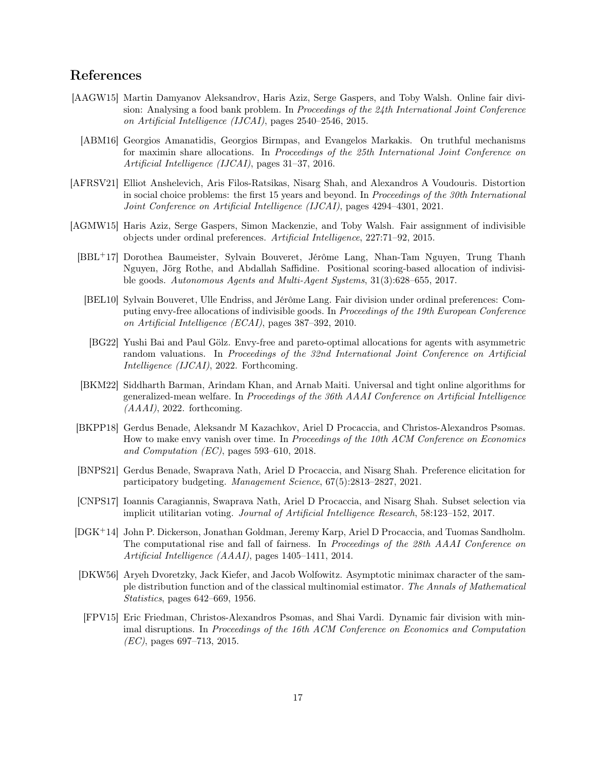# References

- <span id="page-16-10"></span><span id="page-16-9"></span>[AAGW15] Martin Damyanov Aleksandrov, Haris Aziz, Serge Gaspers, and Toby Walsh. Online fair division: Analysing a food bank problem. In Proceedings of the 24th International Joint Conference on Artificial Intelligence (IJCAI), pages 2540–2546, 2015.
	- [ABM16] Georgios Amanatidis, Georgios Birmpas, and Evangelos Markakis. On truthful mechanisms for maximin share allocations. In Proceedings of the 25th International Joint Conference on Artificial Intelligence (IJCAI), pages 31–37, 2016.
- <span id="page-16-4"></span>[AFRSV21] Elliot Anshelevich, Aris Filos-Ratsikas, Nisarg Shah, and Alexandros A Voudouris. Distortion in social choice problems: the first 15 years and beyond. In Proceedings of the 30th International Joint Conference on Artificial Intelligence (IJCAI), pages 4294–4301, 2021.
- <span id="page-16-8"></span><span id="page-16-7"></span><span id="page-16-6"></span><span id="page-16-1"></span>[AGMW15] Haris Aziz, Serge Gaspers, Simon Mackenzie, and Toby Walsh. Fair assignment of indivisible objects under ordinal preferences. Artificial Intelligence, 227:71–92, 2015.
	- [BBL+17] Dorothea Baumeister, Sylvain Bouveret, Jérôme Lang, Nhan-Tam Nguyen, Trung Thanh Nguyen, Jörg Rothe, and Abdallah Saffidine. Positional scoring-based allocation of indivisible goods. Autonomous Agents and Multi-Agent Systems, 31(3):628–655, 2017.
	- [BEL10] Sylvain Bouveret, Ulle Endriss, and Jérôme Lang. Fair division under ordinal preferences: Computing envy-free allocations of indivisible goods. In Proceedings of the 19th European Conference on Artificial Intelligence (ECAI), pages 387–392, 2010.
	- [BG22] Yushi Bai and Paul Gölz. Envy-free and pareto-optimal allocations for agents with asymmetric random valuations. In Proceedings of the 32nd International Joint Conference on Artificial Intelligence (IJCAI), 2022. Forthcoming.
	- [BKM22] Siddharth Barman, Arindam Khan, and Arnab Maiti. Universal and tight online algorithms for generalized-mean welfare. In Proceedings of the 36th AAAI Conference on Artificial Intelligence  $(AAAI), 2022.$  forthcoming.
	- [BKPP18] Gerdus Benade, Aleksandr M Kazachkov, Ariel D Procaccia, and Christos-Alexandros Psomas. How to make envy vanish over time. In Proceedings of the 10th ACM Conference on Economics and Computation (EC), pages 593–610, 2018.
	- [BNPS21] Gerdus Benade, Swaprava Nath, Ariel D Procaccia, and Nisarg Shah. Preference elicitation for participatory budgeting. Management Science, 67(5):2813–2827, 2021.
	- [CNPS17] Ioannis Caragiannis, Swaprava Nath, Ariel D Procaccia, and Nisarg Shah. Subset selection via implicit utilitarian voting. Journal of Artificial Intelligence Research, 58:123–152, 2017.
- <span id="page-16-12"></span><span id="page-16-5"></span><span id="page-16-3"></span><span id="page-16-2"></span><span id="page-16-0"></span>[DGK<sup>+</sup>14] John P. Dickerson, Jonathan Goldman, Jeremy Karp, Ariel D Procaccia, and Tuomas Sandholm. The computational rise and fall of fairness. In Proceedings of the 28th AAAI Conference on Artificial Intelligence (AAAI), pages 1405–1411, 2014.
- <span id="page-16-13"></span>[DKW56] Aryeh Dvoretzky, Jack Kiefer, and Jacob Wolfowitz. Asymptotic minimax character of the sample distribution function and of the classical multinomial estimator. The Annals of Mathematical Statistics, pages 642–669, 1956.
- <span id="page-16-11"></span>[FPV15] Eric Friedman, Christos-Alexandros Psomas, and Shai Vardi. Dynamic fair division with minimal disruptions. In Proceedings of the 16th ACM Conference on Economics and Computation  $(EC)$ , pages 697–713, 2015.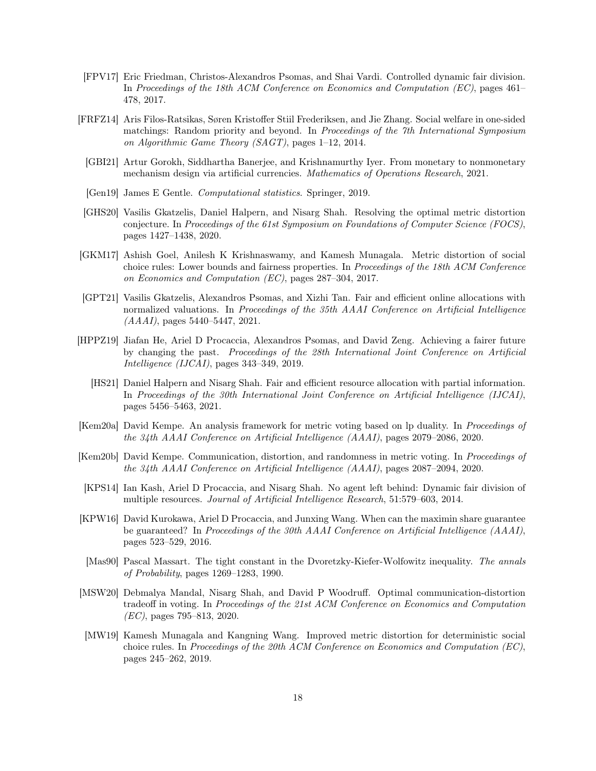- <span id="page-17-10"></span>[FPV17] Eric Friedman, Christos-Alexandros Psomas, and Shai Vardi. Controlled dynamic fair division. In Proceedings of the 18th ACM Conference on Economics and Computation (EC), pages 461– 478, 2017.
- <span id="page-17-13"></span><span id="page-17-7"></span>[FRFZ14] Aris Filos-Ratsikas, Søren Kristoffer Stiil Frederiksen, and Jie Zhang. Social welfare in one-sided matchings: Random priority and beyond. In Proceedings of the 7th International Symposium on Algorithmic Game Theory (SAGT), pages 1–12, 2014.
	- [GBI21] Artur Gorokh, Siddhartha Banerjee, and Krishnamurthy Iyer. From monetary to nonmonetary mechanism design via artificial currencies. Mathematics of Operations Research, 2021.
	- [Gen19] James E Gentle. Computational statistics. Springer, 2019.
- <span id="page-17-15"></span><span id="page-17-6"></span>[GHS20] Vasilis Gkatzelis, Daniel Halpern, and Nisarg Shah. Resolving the optimal metric distortion conjecture. In Proceedings of the 61st Symposium on Foundations of Computer Science (FOCS), pages 1427–1438, 2020.
- <span id="page-17-1"></span>[GKM17] Ashish Goel, Anilesh K Krishnaswamy, and Kamesh Munagala. Metric distortion of social choice rules: Lower bounds and fairness properties. In Proceedings of the 18th ACM Conference on Economics and Computation (EC), pages 287–304, 2017.
- <span id="page-17-12"></span>[GPT21] Vasilis Gkatzelis, Alexandros Psomas, and Xizhi Tan. Fair and efficient online allocations with normalized valuations. In Proceedings of the 35th AAAI Conference on Artificial Intelligence (AAAI), pages 5440–5447, 2021.
- <span id="page-17-11"></span><span id="page-17-8"></span>[HPPZ19] Jiafan He, Ariel D Procaccia, Alexandros Psomas, and David Zeng. Achieving a fairer future by changing the past. Proceedings of the 28th International Joint Conference on Artificial Intelligence (IJCAI), pages 343–349, 2019.
	- [HS21] Daniel Halpern and Nisarg Shah. Fair and efficient resource allocation with partial information. In Proceedings of the 30th International Joint Conference on Artificial Intelligence (IJCAI), pages 5456–5463, 2021.
- <span id="page-17-4"></span>[Kem20a] David Kempe. An analysis framework for metric voting based on lp duality. In Proceedings of the 34th AAAI Conference on Artificial Intelligence (AAAI), pages 2079–2086, 2020.
- <span id="page-17-5"></span>[Kem20b] David Kempe. Communication, distortion, and randomness in metric voting. In Proceedings of the 34th AAAI Conference on Artificial Intelligence (AAAI), pages 2087–2094, 2020.
- <span id="page-17-9"></span>[KPS14] Ian Kash, Ariel D Procaccia, and Nisarg Shah. No agent left behind: Dynamic fair division of multiple resources. Journal of Artificial Intelligence Research, 51:579–603, 2014.
- <span id="page-17-0"></span>[KPW16] David Kurokawa, Ariel D Procaccia, and Junxing Wang. When can the maximin share guarantee be guaranteed? In Proceedings of the 30th AAAI Conference on Artificial Intelligence (AAAI), pages 523–529, 2016.
- <span id="page-17-14"></span>[Mas90] Pascal Massart. The tight constant in the Dvoretzky-Kiefer-Wolfowitz inequality. The annals of Probability, pages 1269–1283, 1990.
- <span id="page-17-2"></span>[MSW20] Debmalya Mandal, Nisarg Shah, and David P Woodruff. Optimal communication-distortion tradeoff in voting. In Proceedings of the 21st ACM Conference on Economics and Computation (EC), pages 795–813, 2020.
- <span id="page-17-3"></span>[MW19] Kamesh Munagala and Kangning Wang. Improved metric distortion for deterministic social choice rules. In Proceedings of the 20th ACM Conference on Economics and Computation (EC), pages 245–262, 2019.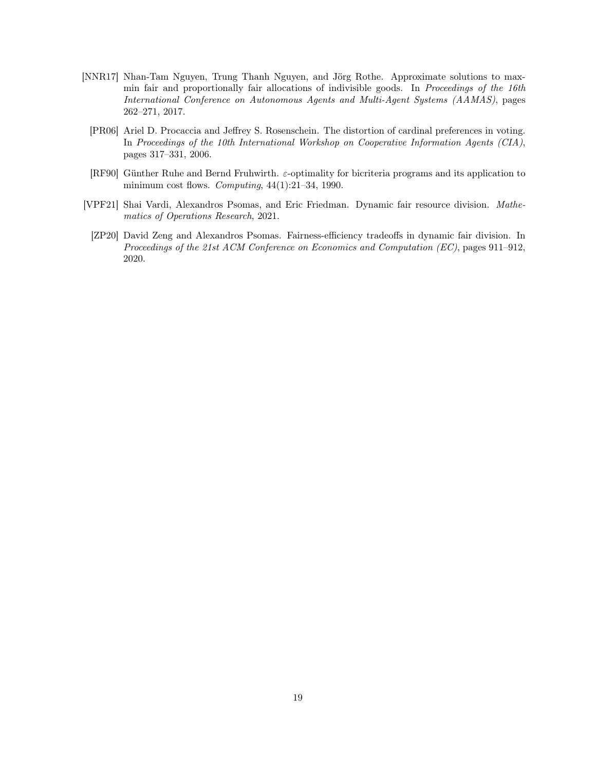- <span id="page-18-2"></span><span id="page-18-1"></span>[NNR17] Nhan-Tam Nguyen, Trung Thanh Nguyen, and Jörg Rothe. Approximate solutions to maxmin fair and proportionally fair allocations of indivisible goods. In Proceedings of the 16th International Conference on Autonomous Agents and Multi-Agent Systems (AAMAS), pages 262–271, 2017.
	- [PR06] Ariel D. Procaccia and Jeffrey S. Rosenschein. The distortion of cardinal preferences in voting. In Proceedings of the 10th International Workshop on Cooperative Information Agents (CIA), pages 317–331, 2006.
	- [RF90] Günther Ruhe and Bernd Fruhwirth. ε-optimality for bicriteria programs and its application to minimum cost flows. Computing,  $44(1):21-34$ , 1990.
- <span id="page-18-4"></span><span id="page-18-3"></span>[VPF21] Shai Vardi, Alexandros Psomas, and Eric Friedman. Dynamic fair resource division. Mathematics of Operations Research, 2021.
- <span id="page-18-0"></span>[ZP20] David Zeng and Alexandros Psomas. Fairness-efficiency tradeoffs in dynamic fair division. In Proceedings of the 21st ACM Conference on Economics and Computation (EC), pages 911–912, 2020.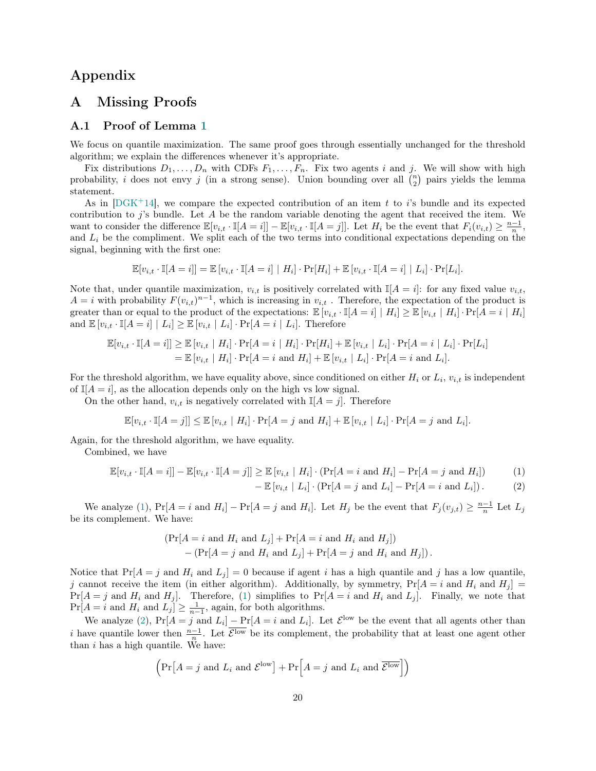# Appendix

### A Missing Proofs

#### <span id="page-19-0"></span>A.1 Proof of Lemma [1](#page-3-0)

We focus on quantile maximization. The same proof goes through essentially unchanged for the threshold algorithm; we explain the differences whenever it's appropriate.

Fix distributions  $D_1, \ldots, D_n$  with CDFs  $F_1, \ldots, F_n$ . Fix two agents i and j. We will show with high probability, *i* does not envy *j* (in a strong sense). Union bounding over all  $\binom{n}{2}$  pairs yields the lemma statement.

As in  $[DGK^+14]$  $[DGK^+14]$ , we compare the expected contribution of an item t to i's bundle and its expected contribution to  $j$ 's bundle. Let  $A$  be the random variable denoting the agent that received the item. We want to consider the difference  $\mathbb{E}[v_{i,t} \cdot \mathbb{I}[A=i]] - \mathbb{E}[v_{i,t} \cdot \mathbb{I}[A=j]]$ . Let  $H_i$  be the event that  $F_i(v_{i,t}) \geq \frac{n-1}{n}$ , and  $L<sub>i</sub>$  be the compliment. We split each of the two terms into conditional expectations depending on the signal, beginning with the first one:

$$
\mathbb{E}[v_{i,t} \cdot \mathbb{I}[A=i]] = \mathbb{E}[v_{i,t} \cdot \mathbb{I}[A=i] | H_i] \cdot \Pr[H_i] + \mathbb{E}[v_{i,t} \cdot \mathbb{I}[A=i] | L_i] \cdot \Pr[L_i].
$$

Note that, under quantile maximization,  $v_{i,t}$  is positively correlated with  $\mathbb{I}[A=i]$ : for any fixed value  $v_{i,t}$ ,  $A = i$  with probability  $F(v_{i,t})^{n-1}$ , which is increasing in  $v_{i,t}$ . Therefore, the expectation of the product is greater than or equal to the product of the expectations:  $\mathbb{E}[v_{i,t} \cdot \mathbb{I}[A=i] | H_i] \geq \mathbb{E}[v_{i,t} | H_i] \cdot \Pr[A=i | H_i]$ and  $\mathbb{E}[v_{i,t} \cdot \mathbb{I}[A=i] | L_i] \geq \mathbb{E}[v_{i,t} | L_i] \cdot \Pr[A=i | L_i]$ . Therefore

$$
\mathbb{E}[v_{i,t} \cdot \mathbb{I}[A=i]] \geq \mathbb{E}[v_{i,t} \mid H_i] \cdot \Pr[A=i \mid H_i] \cdot \Pr[H_i] + \mathbb{E}[v_{i,t} \mid L_i] \cdot \Pr[A=i \mid L_i] \cdot \Pr[L_i] \n= \mathbb{E}[v_{i,t} \mid H_i] \cdot \Pr[A=i \text{ and } H_i] + \mathbb{E}[v_{i,t} \mid L_i] \cdot \Pr[A=i \text{ and } L_i].
$$

For the threshold algorithm, we have equality above, since conditioned on either  $H_i$  or  $L_i$ ,  $v_{i,t}$  is independent of  $\mathbb{I}[A = i]$ , as the allocation depends only on the high vs low signal.

On the other hand,  $v_{i,t}$  is negatively correlated with  $\mathbb{I}[A=j]$ . Therefore

$$
\mathbb{E}[v_{i,t} \cdot \mathbb{I}[A=j]] \leq \mathbb{E}[v_{i,t} \mid H_i] \cdot \Pr[A=j \text{ and } H_i] + \mathbb{E}[v_{i,t} \mid L_i] \cdot \Pr[A=j \text{ and } L_i].
$$

Again, for the threshold algorithm, we have equality.

Combined, we have

$$
\mathbb{E}[v_{i,t} \cdot \mathbb{I}[A=i]] - \mathbb{E}[v_{i,t} \cdot \mathbb{I}[A=j]] \ge \mathbb{E}[v_{i,t} \mid H_i] \cdot (\Pr[A=i \text{ and } H_i] - \Pr[A=j \text{ and } H_i])
$$
(1)

<span id="page-19-2"></span><span id="page-19-1"></span>
$$
-\mathbb{E}\left[v_{i,t} \mid L_i\right] \cdot \left(\Pr[A=j \text{ and } L_i\right] - \Pr[A=i \text{ and } L_i]\right). \tag{2}
$$

We analyze [\(1\)](#page-19-1),  $Pr[A = i \text{ and } H_i] - Pr[A = j \text{ and } H_i]$ . Let  $H_j$  be the event that  $F_j(v_{j,t}) \geq \frac{n-1}{n}$  Let  $L_j$ be its complement. We have:

$$
(\Pr[A = i \text{ and } H_i \text{ and } L_j] + \Pr[A = i \text{ and } H_i \text{ and } H_j])
$$

$$
- (\Pr[A = j \text{ and } H_i \text{ and } L_j] + \Pr[A = j \text{ and } H_i \text{ and } H_j]).
$$

Notice that  $Pr[A = j \text{ and } H_i \text{ and } L_j] = 0$  because if agent i has a high quantile and j has a low quantile, j cannot receive the item (in either algorithm). Additionally, by symmetry,  $Pr[A = i \text{ and } H_i \text{ and } H_j] =$  $Pr[A = j \text{ and } H_i \text{ and } H_j].$  Therefore, [\(1\)](#page-19-1) simplifies to  $Pr[A = i \text{ and } H_i \text{ and } L_j].$  Finally, we note that  $Pr[A = i \text{ and } H_i \text{ and } L_j] \ge \frac{1}{n-1}$ , again, for both algorithms.

We analyze [\(2\)](#page-19-2),  $Pr[A = j \text{ and } L_i] - Pr[A = i \text{ and } L_i]$ . Let  $\mathcal{E}^{\text{low}}$  be the event that all agents other than i have quantile lower then  $\frac{n-1}{n}$ . Let  $\overline{\mathcal{E}^{\text{low}}}$  be its complement, the probability that at least one agent other than  $i$  has a high quantile. We have:

$$
\left(\Pr[A=j \text{ and } L_i \text{ and } \mathcal{E}^{\text{low}}] + \Pr[A=j \text{ and } L_i \text{ and } \overline{\mathcal{E}^{\text{low}}}\right]\right)
$$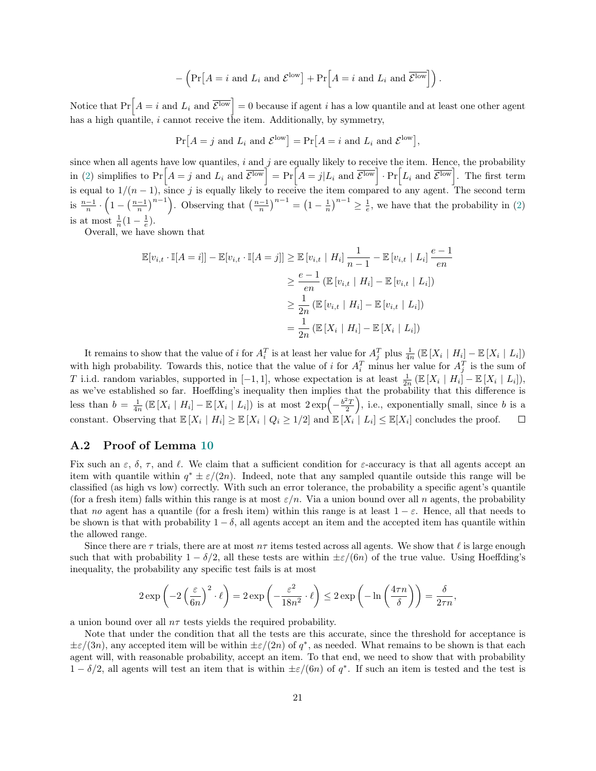$$
-\left(\Pr\left[A=i \text{ and } L_i \text{ and } \mathcal{E}^{\text{low}}\right] + \Pr\left[A=i \text{ and } L_i \text{ and } \overline{\mathcal{E}^{\text{low}}}\right]\right).
$$

Notice that  $Pr[A = i \text{ and } L_i \text{ and } \overline{\mathcal{E}^{\text{low}}}] = 0$  because if agent i has a low quantile and at least one other agent has a high quantile,  $i$  cannot receive the item. Additionally, by symmetry,

$$
Pr[A = j \text{ and } L_i \text{ and } \mathcal{E}^{\text{low}}] = Pr[A = i \text{ and } L_i \text{ and } \mathcal{E}^{\text{low}}],
$$

since when all agents have low quantiles,  $i$  and  $j$  are equally likely to receive the item. Hence, the probability in [\(2\)](#page-19-2) simplifies to  $Pr[A = j \text{ and } L_i \text{ and } \overline{\mathcal{E}^{\text{low}}}] = Pr[A = j | L_i \text{ and } \overline{\mathcal{E}^{\text{low}}}]$ .  $Pr[L_i \text{ and } \overline{\mathcal{E}^{\text{low}}}]$ . The first term is equal to  $1/(n-1)$ , since j is equally likely to receive the item compared to any agent. The second term is  $\frac{n-1}{n} \cdot \left(1 - \left(\frac{n-1}{n}\right)^{n-1}\right)$ . Observing that  $\left(\frac{n-1}{n}\right)^{n-1} = \left(1 - \frac{1}{n}\right)^{n-1} \ge \frac{1}{e}$ , we have that the probability in [\(2\)](#page-19-2) is at most  $\frac{1}{n}(1-\frac{1}{e})$ .

Overall, we have shown that

$$
\mathbb{E}[v_{i,t} \cdot \mathbb{I}[A = i]] - \mathbb{E}[v_{i,t} \cdot \mathbb{I}[A = j]] \geq \mathbb{E}[v_{i,t} | H_i] \frac{1}{n-1} - \mathbb{E}[v_{i,t} | L_i] \frac{e-1}{en}
$$
  

$$
\geq \frac{e-1}{en} (\mathbb{E}[v_{i,t} | H_i] - \mathbb{E}[v_{i,t} | L_i])
$$
  

$$
\geq \frac{1}{2n} (\mathbb{E}[v_{i,t} | H_i] - \mathbb{E}[v_{i,t} | L_i])
$$
  

$$
= \frac{1}{2n} (\mathbb{E}[X_i | H_i] - \mathbb{E}[X_i | L_i])
$$

It remains to show that the value of *i* for  $A_i^T$  is at least her value for  $A_j^T$  plus  $\frac{1}{4n}$  ( $\mathbb{E}[X_i | H_i] - \mathbb{E}[X_i | L_i]$ ) with high probability. Towards this, notice that the value of i for  $A_i^T$  minus her value for  $A_j^T$  is the sum of T i.i.d. random variables, supported in [-1,1], whose expectation is at least  $\frac{1}{2n}$  ( $\mathbb{E}[X_i | H_i] - \mathbb{E}[X_i | L_i]$ ), as we've established so far. Hoeffding's inequality then implies that the probability that this difference is less than  $b = \frac{1}{4n} \left( \mathbb{E} \left[ X_i \mid H_i \right] - \mathbb{E} \left[ X_i \mid L_i \right] \right)$  is at most  $2 \exp \left( -\frac{b^2 T}{2} \right)$ , i.e., exponentially small, since b is a constant. Observing that  $\mathbb{E}[X_i | H_i] \geq \mathbb{E}[X_i | Q_i \geq 1/2]$  and  $\mathbb{E}[X_i | L_i] \leq \mathbb{E}[X_i]$  concludes the proof.  $\Box$ 

#### <span id="page-20-0"></span>A.2 Proof of Lemma [10](#page-13-1)

Fix such an  $\varepsilon$ ,  $\delta$ ,  $\tau$ , and  $\ell$ . We claim that a sufficient condition for  $\varepsilon$ -accuracy is that all agents accept an item with quantile within  $q^* \pm \varepsilon/(2n)$ . Indeed, note that any sampled quantile outside this range will be classified (as high vs low) correctly. With such an error tolerance, the probability a specific agent's quantile (for a fresh item) falls within this range is at most  $\varepsilon/n$ . Via a union bound over all n agents, the probability that no agent has a quantile (for a fresh item) within this range is at least  $1 - \varepsilon$ . Hence, all that needs to be shown is that with probability  $1 - \delta$ , all agents accept an item and the accepted item has quantile within the allowed range.

Since there are  $\tau$  trials, there are at most  $n\tau$  items tested across all agents. We show that  $\ell$  is large enough such that with probability  $1 - \delta/2$ , all these tests are within  $\pm \varepsilon/(6n)$  of the true value. Using Hoeffding's inequality, the probability any specific test fails is at most

$$
2 \exp\left(-2\left(\frac{\varepsilon}{6n}\right)^2 \cdot \ell\right) = 2 \exp\left(-\frac{\varepsilon^2}{18n^2} \cdot \ell\right) \le 2 \exp\left(-\ln\left(\frac{4\tau n}{\delta}\right)\right) = \frac{\delta}{2\tau n},
$$

a union bound over all  $n\tau$  tests yields the required probability.

Note that under the condition that all the tests are this accurate, since the threshold for acceptance is  $\pm \varepsilon/(3n)$ , any accepted item will be within  $\pm \varepsilon/(2n)$  of  $q^*$ , as needed. What remains to be shown is that each agent will, with reasonable probability, accept an item. To that end, we need to show that with probability  $1 - \delta/2$ , all agents will test an item that is within  $\pm \varepsilon/(6n)$  of  $q^*$ . If such an item is tested and the test is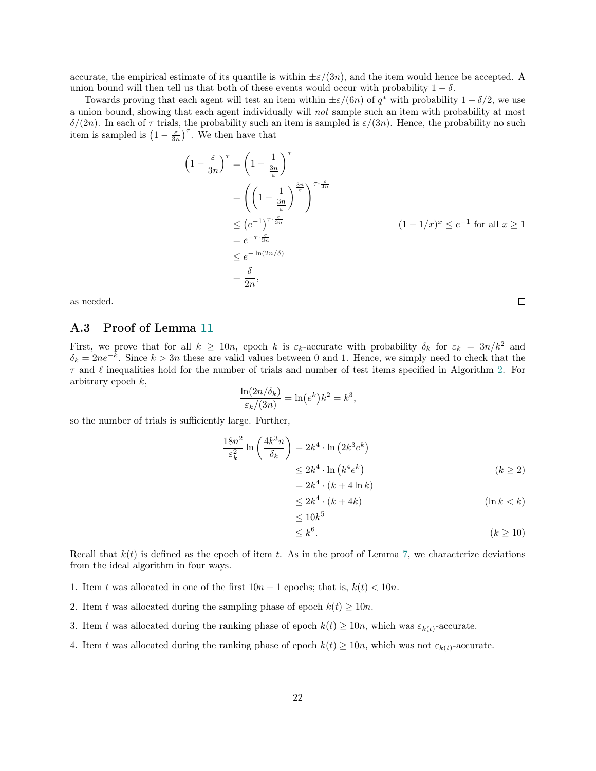accurate, the empirical estimate of its quantile is within  $\pm \varepsilon/(3n)$ , and the item would hence be accepted. A union bound will then tell us that both of these events would occur with probability  $1 - \delta$ .

Towards proving that each agent will test an item within  $\pm \varepsilon/(6n)$  of  $q^*$  with probability  $1 - \delta/2$ , we use a union bound, showing that each agent individually will not sample such an item with probability at most  $\delta/(2n)$ . In each of  $\tau$  trials, the probability such an item is sampled is  $\varepsilon/(3n)$ . Hence, the probability no such item is sampled is  $\left(1 - \frac{\varepsilon}{3n}\right)^{\tau}$ . We then have that

$$
\left(1 - \frac{\varepsilon}{3n}\right)^{\tau} = \left(1 - \frac{1}{\frac{3n}{\varepsilon}}\right)^{\tau}
$$
  
\n
$$
= \left(\left(1 - \frac{1}{\frac{3n}{\varepsilon}}\right)^{\frac{3n}{\varepsilon}}\right)^{\tau \cdot \frac{\varepsilon}{3n}}
$$
  
\n
$$
\leq \left(e^{-1}\right)^{\tau \cdot \frac{\varepsilon}{3n}}
$$
  
\n
$$
= e^{-\tau \cdot \frac{\varepsilon}{3n}}
$$
  
\n
$$
\leq e^{-\ln(2n/\delta)}
$$
  
\n
$$
= \frac{\delta}{2n},
$$
  
\n
$$
(1 - 1/x)^{x} \leq e^{-1} \text{ for all } x \geq 1
$$

as needed.

#### <span id="page-21-0"></span>A.3 Proof of Lemma [11](#page-13-4)

First, we prove that for all  $k \ge 10n$ , epoch k is  $\varepsilon_k$ -accurate with probability  $\delta_k$  for  $\varepsilon_k = 3n/k^2$  and  $\delta_k = 2ne^{-k}$ . Since  $k > 3n$  these are valid values between 0 and 1. Hence, we simply need to check that the  $\tau$  and  $\ell$  inequalities hold for the number of trials and number of test items specified in Algorithm [2.](#page-12-0) For arbitrary epoch  $k$ ,

$$
\frac{\ln(2n/\delta_k)}{\varepsilon_k/(3n)} = \ln(e^k)k^2 = k^3
$$

so the number of trials is sufficiently large. Further,

$$
\frac{18n^2}{\varepsilon_k^2} \ln\left(\frac{4k^3n}{\delta_k}\right) = 2k^4 \cdot \ln\left(2k^3 e^k\right)
$$
  
\n
$$
\leq 2k^4 \cdot \ln\left(k^4 e^k\right)
$$
  
\n
$$
= 2k^4 \cdot (k+4\ln k)
$$
  
\n
$$
\leq 2k^4 \cdot (k+4k)
$$
  
\n
$$
\leq 10k^5
$$
  
\n
$$
(k \geq 2)
$$

,

$$
\leq k^6. \tag{k \geq 10}
$$

Recall that  $k(t)$  is defined as the epoch of item t. As in the proof of Lemma [7,](#page-9-0) we characterize deviations from the ideal algorithm in four ways.

- 1. Item t was allocated in one of the first  $10n 1$  epochs; that is,  $k(t) < 10n$ .
- 2. Item t was allocated during the sampling phase of epoch  $k(t) \geq 10n$ .
- 3. Item t was allocated during the ranking phase of epoch  $k(t) \ge 10n$ , which was  $\varepsilon_{k(t)}$ -accurate.
- 4. Item t was allocated during the ranking phase of epoch  $k(t) \ge 10n$ , which was not  $\varepsilon_{k(t)}$ -accurate.

 $\Box$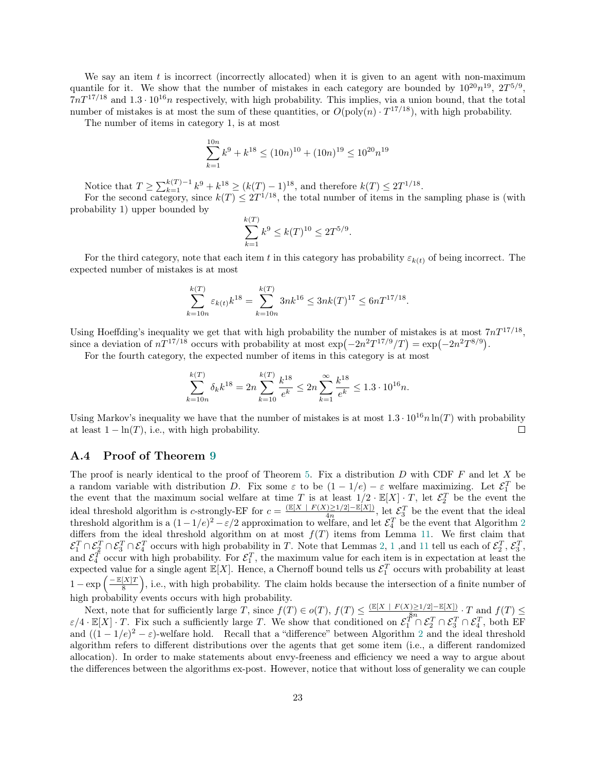We say an item t is incorrect (incorrectly allocated) when it is given to an agent with non-maximum quantile for it. We show that the number of mistakes in each category are bounded by  $10^{20}n^{19}$ ,  $2T^{5/9}$ ,  $7nT^{17/18}$  and  $1.3 \cdot 10^{16}n$  respectively, with high probability. This implies, via a union bound, that the total number of mistakes is at most the sum of these quantities, or  $O(poly(n) \cdot T^{17/18})$ , with high probability.

The number of items in category 1, is at most

$$
\sum_{k=1}^{10n} k^9 + k^{18} \le (10n)^{10} + (10n)^{19} \le 10^{20} n^{19}
$$

Notice that  $T \ge \sum_{k=1}^{k(T)-1} k^9 + k^{18} \ge (k(T)-1)^{18}$ , and therefore  $k(T) \le 2T^{1/18}$ .

For the second category, since  $k(T) \leq 2T^{1/18}$ , the total number of items in the sampling phase is (with probability 1) upper bounded by

$$
\sum_{k=1}^{k(T)} k^9 \le k(T)^{10} \le 2T^{5/9}.
$$

For the third category, note that each item t in this category has probability  $\varepsilon_{k(t)}$  of being incorrect. The expected number of mistakes is at most

$$
\sum_{k=10n}^{k(T)} \varepsilon_{k(t)} k^{18} = \sum_{k=10n}^{k(T)} 3nk^{16} \le 3nk(T)^{17} \le 6nT^{17/18}.
$$

Using Hoeffding's inequality we get that with high probability the number of mistakes is at most  $7nT^{17/18}$ , since a deviation of  $nT^{17/18}$  occurs with probability at most  $\exp(-2n^2T^{17/9}/T) = \exp(-2n^2T^{8/9})$ .

For the fourth category, the expected number of items in this category is at most

$$
\sum_{k=10n}^{k(T)} \delta_k k^{18} = 2n \sum_{k=10}^{k(T)} \frac{k^{18}}{e^k} \le 2n \sum_{k=1}^{\infty} \frac{k^{18}}{e^k} \le 1.3 \cdot 10^{16} n.
$$

Using Markov's inequality we have that the number of mistakes is at most  $1.3 \cdot 10^{16} n \ln(T)$  with probability at least  $1 - \ln(T)$ , i.e., with high probability.  $\Box$ 

#### <span id="page-22-0"></span>A.4 Proof of Theorem [9](#page-12-1)

The proof is nearly identical to the proof of Theorem [5.](#page-8-1) Fix a distribution  $D$  with CDF  $F$  and let  $X$  be a random variable with distribution D. Fix some  $\varepsilon$  to be  $(1-1/e) - \varepsilon$  welfare maximizing. Let  $\mathcal{E}_1^T$  be the event that the maximum social welfare at time T is at least  $1/2 \cdot \mathbb{E}[X] \cdot T$ , let  $\mathcal{E}_2^T$  be the event the ideal threshold algorithm is c-strongly-EF for  $c = \frac{(\mathbb{E}[X] - F(X) \geq 1/2] - \mathbb{E}[X])}{4n}$  $\frac{\sum 1}{2} \frac{2}{\log 4}$ , let  $\mathcal{E}_3^T$  be the event that the ideal threshold algorithm is a  $(1-1/e)^2 - \varepsilon/2$  $(1-1/e)^2 - \varepsilon/2$  $(1-1/e)^2 - \varepsilon/2$  approximation to well fare, and let  $\mathcal{E}_4^T$  be the event that Algorithm 2 differs from the ideal threshold algorithm on at most  $f(T)$  items from Lemma [11.](#page-13-4) We first claim that  $\mathcal{E}_1^T \cap \mathcal{E}_2^T \cap \mathcal{E}_3^T \cap \mathcal{E}_4^T$  $\mathcal{E}_1^T \cap \mathcal{E}_2^T \cap \mathcal{E}_3^T \cap \mathcal{E}_4^T$  $\mathcal{E}_1^T \cap \mathcal{E}_2^T \cap \mathcal{E}_3^T \cap \mathcal{E}_4^T$  occurs with high probability in T. Note that Lemmas [2,](#page-4-0) 1, and [11](#page-13-4) tell us each of  $\mathcal{E}_2^T$ ,  $\mathcal{E}_3^T$ , and  $\mathcal{E}_4^T$  occur with high probability. For  $\mathcal{E}_1^T$ , the maximum value for each item is in expectation at least the expected value for a single agent  $\mathbb{E}[X]$ . Hence, a Chernoff bound tells us  $\mathcal{E}_1^T$  occurs with probability at least  $1 - \exp\left(\frac{-\mathbb{E}[X]T}{8}\right)$  $\frac{[X]T}{8}$ , i.e., with high probability. The claim holds because the intersection of a finite number of high probability events occurs with high probability.

Next, note that for sufficiently large T, since  $f(T) \in o(T)$ ,  $f(T) \leq \frac{(\mathbb{E}[X] - F(X) \geq 1/2] - \mathbb{E}[X])}{8n}$  $\frac{1\geq 1/2\mid -\mathbb{E}[X]\mid}{8n} \cdot T$  and  $f(T) \leq$  $\varepsilon/4 \cdot \mathbb{E}[X] \cdot T$ . Fix such a sufficiently large T. We show that conditioned on  $\mathcal{E}_1^{T^n} \cap \mathcal{E}_2^T \cap \mathcal{E}_3^T \cap \mathcal{E}_4^T$ , both EF and  $((1 - 1/e)^2 - \varepsilon)$  $((1 - 1/e)^2 - \varepsilon)$  $((1 - 1/e)^2 - \varepsilon)$ -welfare hold. Recall that a "difference" between Algorithm 2 and the ideal threshold algorithm refers to different distributions over the agents that get some item (i.e., a different randomized allocation). In order to make statements about envy-freeness and efficiency we need a way to argue about the differences between the algorithms ex-post. However, notice that without loss of generality we can couple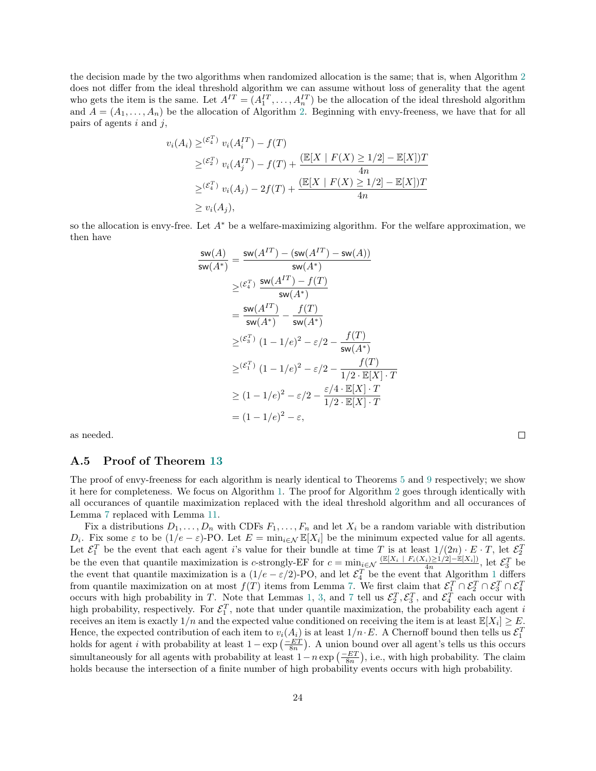the decision made by the two algorithms when randomized allocation is the same; that is, when Algorithm [2](#page-12-0) does not differ from the ideal threshold algorithm we can assume without loss of generality that the agent who gets the item is the same. Let  $A^{IT} = (A_1^{IT}, \ldots, A_n^{IT})$  be the allocation of the ideal threshold algorithm and  $A = (A_1, \ldots, A_n)$  be the allocation of Algorithm [2.](#page-12-0) Beginning with envy-freeness, we have that for all pairs of agents  $i$  and  $j$ ,

$$
v_i(A_i) \geq {(\mathcal{E}_4^T)} v_i(A_i^{IT}) - f(T)
$$
  
\n
$$
\geq {(\mathcal{E}_2^T)} v_i(A_j^{IT}) - f(T) + \frac{(\mathbb{E}[X \mid F(X) \geq 1/2] - \mathbb{E}[X])T}{4n}
$$
  
\n
$$
\geq {(\mathcal{E}_4^T)} v_i(A_j) - 2f(T) + \frac{(\mathbb{E}[X \mid F(X) \geq 1/2] - \mathbb{E}[X])T}{4n}
$$
  
\n
$$
\geq v_i(A_j),
$$

so the allocation is envy-free. Let  $A^*$  be a welfare-maximizing algorithm. For the welfare approximation, we then have

$$
\frac{\mathsf{sw}(A)}{\mathsf{sw}(A^*)} = \frac{\mathsf{sw}(A^{IT}) - (\mathsf{sw}(A^{IT}) - \mathsf{sw}(A))}{\mathsf{sw}(A^*)}
$$
\n
$$
\geq (\varepsilon_4^T) \frac{\mathsf{sw}(A^{IT}) - f(T)}{\mathsf{sw}(A^*)}
$$
\n
$$
= \frac{\mathsf{sw}(A^{IT})}{\mathsf{sw}(A^*)} - \frac{f(T)}{\mathsf{sw}(A^*)}
$$
\n
$$
\geq (\varepsilon_3^T) (1 - 1/e)^2 - \varepsilon/2 - \frac{f(T)}{\mathsf{sw}(A^*)}
$$
\n
$$
\geq (\varepsilon_1^T) (1 - 1/e)^2 - \varepsilon/2 - \frac{f(T)}{1/2 \cdot \mathbb{E}[X] \cdot T}
$$
\n
$$
\geq (1 - 1/e)^2 - \varepsilon/2 - \frac{\varepsilon/4 \cdot \mathbb{E}[X] \cdot T}{1/2 \cdot \mathbb{E}[X] \cdot T}
$$
\n
$$
= (1 - 1/e)^2 - \varepsilon,
$$

as needed.

#### <span id="page-23-0"></span>A.5 Proof of Theorem [13](#page-15-0)

The proof of envy-freeness for each algorithm is nearly identical to Theorems [5](#page-8-1) and [9](#page-12-1) respectively; we show it here for completeness. We focus on Algorithm [1.](#page-8-0) The proof for Algorithm [2](#page-12-0) goes through identically with all occurances of quantile maximization replaced with the ideal threshold algorithm and all occurances of Lemma [7](#page-9-0) replaced with Lemma [11.](#page-13-4)

 $\Box$ 

Fix a distributions  $D_1, \ldots, D_n$  with CDFs  $F_1, \ldots, F_n$  and let  $X_i$  be a random variable with distribution D<sub>i</sub>. Fix some  $\varepsilon$  to be  $(1/e - \varepsilon)$ -PO. Let  $E = \min_{i \in \mathcal{N}} \mathbb{E}[X_i]$  be the minimum expected value for all agents. Let  $\mathcal{E}_1^T$  be the event that each agent i's value for their bundle at time T is at least  $1/(2n) \cdot E \cdot T$ , let  $\mathcal{E}_2^T$ be the even that quantile maximization is c-strongly-EF for  $c = \min_{x \in \mathcal{N}} \frac{\left(\mathbb{E}[X_i] - F_i(X_i) \geq 1/2\right] - \mathbb{E}[X_i]}{4n}$ , let  $\mathcal{E}_3^T$  be the event that quantile maximization is a  $(1/e - \varepsilon/2)$  $(1/e - \varepsilon/2)$  $(1/e - \varepsilon/2)$ -PO, and let  $\mathcal{E}_4^T$  be the event that Algorithm 1 differs from quantile maximization on at most  $f(T)$  items from Lemma [7.](#page-9-0) We first claim that  $\mathcal{E}_1^T \cap \mathcal{E}_2^T \cap \mathcal{E}_3^T \cap \mathcal{E}_4^T$  occurs with high probability in T. Note that Lemmas [1,](#page-3-0) [3,](#page-5-0) and [7](#page-9-0) tell us  $\mathcal{E}_2^T, \mathcal{E}_3^T$ high probability, respectively. For  $\mathcal{E}_1^T$ , note that under quantile maximization, the probability each agent i receives an item is exactly  $1/n$  and the expected value conditioned on receiving the item is at least  $\mathbb{E}[X_i] \geq E$ . Hence, the expected contribution of each item to  $v_i(A_i)$  is at least  $1/n \cdot E$ . A Chernoff bound then tells us  $\mathcal{E}_1^T$  holds for agent i with probability at least  $1 - \exp\left(\frac{-ET}{8n}\right)$ . A union bound over all agent's tells simultaneously for all agents with probability at least  $1-n \exp\left(\frac{-ET}{8n}\right)$ , i.e., with high probability. The claim holds because the intersection of a finite number of high probability events occurs with high probability.